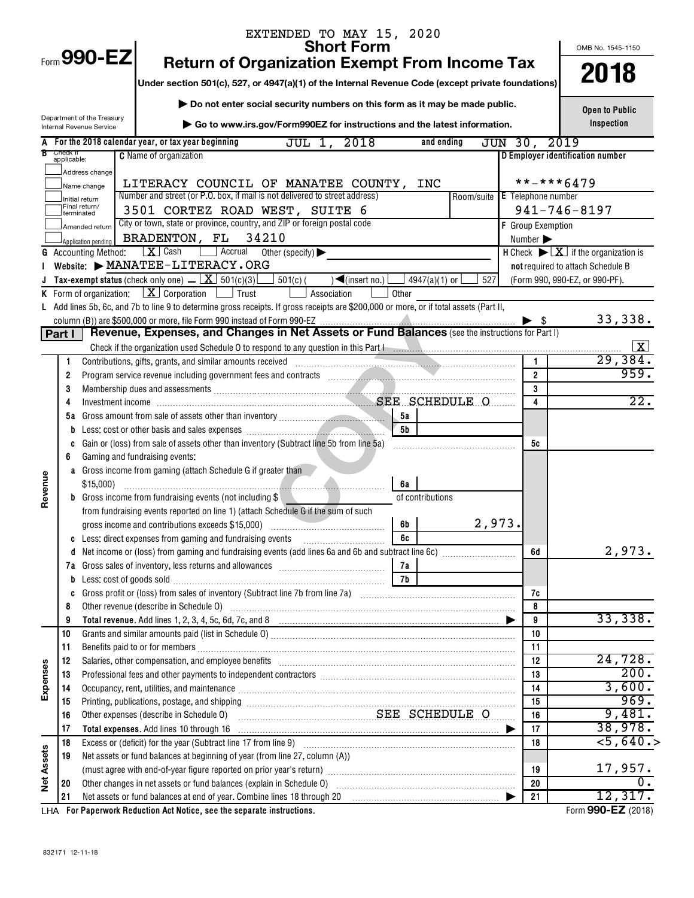|                   |                                  |                                                        | EXTENDED TO MAY 15, 2020<br><b>Short Form</b>                                                                                                                                                                                                                                                                                                       |                              |                                                                                           |
|-------------------|----------------------------------|--------------------------------------------------------|-----------------------------------------------------------------------------------------------------------------------------------------------------------------------------------------------------------------------------------------------------------------------------------------------------------------------------------------------------|------------------------------|-------------------------------------------------------------------------------------------|
|                   |                                  | Form 990-EZ                                            | <b>Return of Organization Exempt From Income Tax</b>                                                                                                                                                                                                                                                                                                |                              | OMB No. 1545-1150                                                                         |
|                   |                                  |                                                        |                                                                                                                                                                                                                                                                                                                                                     |                              | 2018                                                                                      |
|                   |                                  |                                                        | Under section 501(c), 527, or 4947(a)(1) of the Internal Revenue Code (except private foundations)                                                                                                                                                                                                                                                  |                              |                                                                                           |
|                   |                                  |                                                        | Do not enter social security numbers on this form as it may be made public.                                                                                                                                                                                                                                                                         |                              | <b>Open to Public</b>                                                                     |
|                   |                                  | Department of the Treasury<br>Internal Revenue Service | Go to www.irs.gov/Form990EZ for instructions and the latest information.                                                                                                                                                                                                                                                                            |                              | Inspection                                                                                |
|                   |                                  |                                                        | A For the 2018 calendar year, or tax year beginning<br>2018<br>and ending<br>JUL 1,                                                                                                                                                                                                                                                                 | JUN 30, 2019                 |                                                                                           |
|                   | <b>B</b> Check if<br>applicable: |                                                        | <b>C</b> Name of organization                                                                                                                                                                                                                                                                                                                       |                              | D Employer identification number                                                          |
|                   |                                  | Address change                                         |                                                                                                                                                                                                                                                                                                                                                     |                              |                                                                                           |
|                   |                                  | Name change                                            | LITERACY COUNCIL OF MANATEE COUNTY, INC                                                                                                                                                                                                                                                                                                             |                              | **-***6479                                                                                |
|                   |                                  | Initial return<br>Final return/                        | Number and street (or P.O. box, if mail is not delivered to street address)<br>Room/suite   E Telephone number                                                                                                                                                                                                                                      |                              |                                                                                           |
|                   |                                  | terminated                                             | 3501 CORTEZ ROAD WEST, SUITE 6<br>City or town, state or province, country, and ZIP or foreign postal code                                                                                                                                                                                                                                          |                              | $941 - 746 - 8197$                                                                        |
|                   |                                  | Amended return                                         | 34210<br>BRADENTON, FL                                                                                                                                                                                                                                                                                                                              | <b>F</b> Group Exemption     |                                                                                           |
|                   |                                  | Application pending<br><b>G</b> Accounting Method:     | X Cash<br>$\Box$ Accrual Other (specify)                                                                                                                                                                                                                                                                                                            | Number $\blacktriangleright$ | <b>H</b> Check $\blacktriangleright \lfloor \underline{X} \rfloor$ if the organization is |
|                   |                                  |                                                        | Website: $\blacktriangleright$ MANATEE-LITERACY. ORG                                                                                                                                                                                                                                                                                                |                              | not required to attach Schedule B                                                         |
|                   |                                  |                                                        | <b>J</b> Tax-exempt status (check only one) $\overline{X}$ 501(c)(3)<br>$501(c)$ (<br>$\sqrt{\frac{2}{\pi}}$ (insert no.)<br>527<br>4947(a)(1) or l                                                                                                                                                                                                 |                              | (Form 990, 990-EZ, or 990-PF).                                                            |
|                   |                                  |                                                        | <b>K</b> Form of organization: $X \cdot \text{Corporation}$ $\Box$ Trust<br>Association<br>Other                                                                                                                                                                                                                                                    |                              |                                                                                           |
|                   |                                  |                                                        | L Add lines 5b, 6c, and 7b to line 9 to determine gross receipts. If gross receipts are \$200,000 or more, or if total assets (Part II,                                                                                                                                                                                                             |                              |                                                                                           |
|                   |                                  |                                                        |                                                                                                                                                                                                                                                                                                                                                     | $\blacktriangleright$ s      | 33,338.                                                                                   |
|                   | Part I                           |                                                        | Revenue, Expenses, and Changes in Net Assets or Fund Balances (see the instructions for Part I)                                                                                                                                                                                                                                                     |                              |                                                                                           |
|                   |                                  |                                                        |                                                                                                                                                                                                                                                                                                                                                     |                              |                                                                                           |
|                   | 1                                |                                                        |                                                                                                                                                                                                                                                                                                                                                     |                              | 29,384.<br>959.                                                                           |
|                   | 2                                |                                                        |                                                                                                                                                                                                                                                                                                                                                     | $\overline{2}$<br>3          |                                                                                           |
|                   | 3<br>4                           |                                                        | Membership dues and assessments<br>Investment income<br>Investment income<br>All the state of the set of the set of the set of the set of the set of the set of the set of the set of the set of the set of the set of the set of th                                                                                                                | 4                            | 22.                                                                                       |
|                   | 5а                               |                                                        | . 5a                                                                                                                                                                                                                                                                                                                                                |                              |                                                                                           |
|                   | b                                |                                                        | 5 <sub>b</sub>                                                                                                                                                                                                                                                                                                                                      |                              |                                                                                           |
|                   | C                                |                                                        | Gain or (loss) from sale of assets other than inventory (Subtract line 5b from line 5a)                                                                                                                                                                                                                                                             | 5с                           |                                                                                           |
|                   | 6                                |                                                        | Gaming and fundraising events:                                                                                                                                                                                                                                                                                                                      |                              |                                                                                           |
|                   | a                                |                                                        | Gross income from gaming (attach Schedule G if greater than                                                                                                                                                                                                                                                                                         |                              |                                                                                           |
| Revenue           |                                  | \$15,000                                               | 6а                                                                                                                                                                                                                                                                                                                                                  |                              |                                                                                           |
|                   |                                  |                                                        | <b>b</b> Gross income from fundraising events (not including \$<br>of contributions                                                                                                                                                                                                                                                                 |                              |                                                                                           |
|                   |                                  |                                                        | from fundraising events reported on line 1) (attach Schedule G if the sum of such                                                                                                                                                                                                                                                                   |                              |                                                                                           |
|                   |                                  |                                                        | 2,973.<br>gross income and contributions exceeds \$15,000)<br>6b<br>6c                                                                                                                                                                                                                                                                              |                              |                                                                                           |
|                   | c<br>d                           |                                                        | Less: direct expenses from gaming and fundraising events                                                                                                                                                                                                                                                                                            | 6d                           | 2,973.                                                                                    |
|                   | 7а                               |                                                        | 7a                                                                                                                                                                                                                                                                                                                                                  |                              |                                                                                           |
|                   | b                                |                                                        |                                                                                                                                                                                                                                                                                                                                                     |                              |                                                                                           |
|                   | C                                |                                                        |                                                                                                                                                                                                                                                                                                                                                     | 7с                           |                                                                                           |
|                   | 8                                |                                                        | Other revenue (describe in Schedule O) manufactured and content to the schedule O                                                                                                                                                                                                                                                                   | 8                            |                                                                                           |
|                   | 9                                |                                                        |                                                                                                                                                                                                                                                                                                                                                     | 9                            | 33,338.                                                                                   |
|                   | 10                               |                                                        |                                                                                                                                                                                                                                                                                                                                                     | 10                           |                                                                                           |
|                   | 11                               |                                                        |                                                                                                                                                                                                                                                                                                                                                     | 11                           | 24,728.                                                                                   |
|                   | 12                               |                                                        | Salaries, other compensation, and employee benefits [11] matter content to the compensation and compensation, and employee benefits [11] matter communication and compensation and employee benefits [11] matter communication                                                                                                                      | 12<br>13                     | 200.                                                                                      |
| Expenses          | 13<br>14                         |                                                        | Professional fees and other payments to independent contractors [11] matter contractors [11] professional fees and other payments to independent contractors [11] matter contractors and the Professional fees and the Profess<br>Occupancy, rent, utilities, and maintenance manufactured and according term of the manufacture of the manufacture | 14                           | 3,600.                                                                                    |
|                   | 15                               |                                                        |                                                                                                                                                                                                                                                                                                                                                     | 15                           | 969.                                                                                      |
|                   | 16                               |                                                        | SEE SCHEDULE O<br>Other expenses (describe in Schedule O)                                                                                                                                                                                                                                                                                           | 16                           | 9,481.                                                                                    |
|                   | 17                               |                                                        |                                                                                                                                                                                                                                                                                                                                                     | 17<br>▶                      | 38,978.                                                                                   |
|                   | 18                               |                                                        |                                                                                                                                                                                                                                                                                                                                                     | 18                           | $<$ 5,640.>                                                                               |
|                   | 19                               |                                                        | Net assets or fund balances at beginning of year (from line 27, column (A))                                                                                                                                                                                                                                                                         |                              |                                                                                           |
| <b>Net Assets</b> |                                  |                                                        | (must agree with end-of-year figure reported on prior year's return) manufactured content and content to the summan content of the summan content of the summan content of the summan content of the summan content of the sum                                                                                                                      | 19                           | 17,957.                                                                                   |
|                   | 20                               |                                                        |                                                                                                                                                                                                                                                                                                                                                     | 20                           | 0.                                                                                        |
|                   | 21                               |                                                        |                                                                                                                                                                                                                                                                                                                                                     | 21<br>▶                      | 12,317.                                                                                   |

**For Paperwork Reduction Act Notice, see the separate instructions.** LHA Form (2018)

Form **990-EZ** (2018)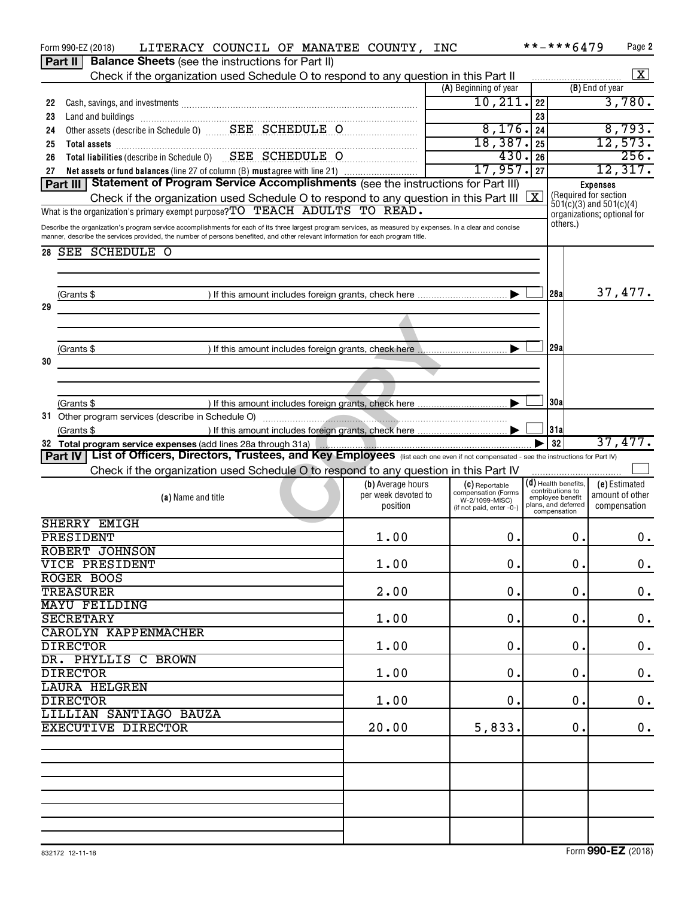|    | LITERACY COUNCIL OF MANATEE COUNTY, INC<br>Form 990-EZ (2018)<br><b>Balance Sheets</b> (see the instructions for Part II)<br><b>Part II</b>                 |                                 |                                            | **-***6479                                 | Page 2                                                     |  |  |  |
|----|-------------------------------------------------------------------------------------------------------------------------------------------------------------|---------------------------------|--------------------------------------------|--------------------------------------------|------------------------------------------------------------|--|--|--|
|    | Check if the organization used Schedule O to respond to any question in this Part II                                                                        |                                 |                                            |                                            | $\vert$ X                                                  |  |  |  |
|    |                                                                                                                                                             |                                 | (A) Beginning of year                      |                                            | (B) End of year                                            |  |  |  |
| 22 |                                                                                                                                                             |                                 | 10, 211.                                   | 22                                         | 3,780.                                                     |  |  |  |
| 23 | Land and buildings [11] with an account of the contract of the contract of the contract of the contract of the                                              |                                 |                                            | 23                                         |                                                            |  |  |  |
| 24 |                                                                                                                                                             | 8,176.<br>24                    | 8,793.                                     |                                            |                                                            |  |  |  |
| 25 |                                                                                                                                                             |                                 | 18,387.                                    | 25                                         | 12,573.                                                    |  |  |  |
| 26 | Total assets<br>Total liabilities (describe in Schedule 0) SEE SCHEDULE O                                                                                   |                                 | 430                                        | 26                                         | 256.                                                       |  |  |  |
| 27 | Net assets or fund balances (line 27 of column (B) must agree with line 21)                                                                                 |                                 | 17,957.                                    | 27                                         | 12,317.                                                    |  |  |  |
|    | Statement of Program Service Accomplishments (see the instructions for Part III)<br>Part III                                                                |                                 |                                            |                                            | <b>Expenses</b>                                            |  |  |  |
|    | Check if the organization used Schedule O to respond to any question in this Part III                                                                       |                                 |                                            | ΙX                                         | (Required for section                                      |  |  |  |
|    | What is the organization's primary exempt purpose? TO TEACH ADULTS TO READ.                                                                                 |                                 |                                            |                                            | $501(c)(3)$ and $501(c)(4)$<br>organizations; optional for |  |  |  |
|    | Describe the organization's program service accomplishments for each of its three largest program services, as measured by expenses. In a clear and concise |                                 |                                            | others.)                                   |                                                            |  |  |  |
|    | manner, describe the services provided, the number of persons benefited, and other relevant information for each program title.                             |                                 |                                            |                                            |                                                            |  |  |  |
|    | 28 SEE SCHEDULE O                                                                                                                                           |                                 |                                            |                                            |                                                            |  |  |  |
|    |                                                                                                                                                             |                                 |                                            |                                            |                                                            |  |  |  |
|    |                                                                                                                                                             |                                 |                                            |                                            |                                                            |  |  |  |
|    | (Grants \$                                                                                                                                                  |                                 |                                            | l28al                                      | 37,477.                                                    |  |  |  |
| 29 |                                                                                                                                                             |                                 |                                            |                                            |                                                            |  |  |  |
|    |                                                                                                                                                             |                                 |                                            |                                            |                                                            |  |  |  |
|    |                                                                                                                                                             |                                 |                                            |                                            |                                                            |  |  |  |
|    | (Grants \$                                                                                                                                                  |                                 |                                            | 129a                                       |                                                            |  |  |  |
| 30 |                                                                                                                                                             |                                 |                                            |                                            |                                                            |  |  |  |
|    |                                                                                                                                                             |                                 |                                            |                                            |                                                            |  |  |  |
|    |                                                                                                                                                             |                                 |                                            |                                            |                                                            |  |  |  |
|    | (Grants \$                                                                                                                                                  |                                 |                                            | 130a                                       |                                                            |  |  |  |
|    |                                                                                                                                                             |                                 |                                            |                                            |                                                            |  |  |  |
|    | (Grants \$                                                                                                                                                  |                                 |                                            | 31a                                        |                                                            |  |  |  |
|    | 32 Total program service expenses (add lines 28a through 31a)                                                                                               |                                 |                                            | 32                                         | 37,477.                                                    |  |  |  |
|    |                                                                                                                                                             |                                 |                                            |                                            |                                                            |  |  |  |
|    | Part IV List of Officers, Directors, Trustees, and Key Employees (list each one even if not compensated - see the instructions for Part IV)                 |                                 |                                            |                                            |                                                            |  |  |  |
|    |                                                                                                                                                             |                                 |                                            |                                            |                                                            |  |  |  |
|    | Check if the organization used Schedule O to respond to any question in this Part IV                                                                        |                                 |                                            |                                            |                                                            |  |  |  |
|    |                                                                                                                                                             | (b) Average hours               | (C) Reportable<br>compensation (Forms      | $(d)$ Health benefits.<br>contributions to | (e) Estimated                                              |  |  |  |
|    | (a) Name and title                                                                                                                                          | per week devoted to<br>position | W-2/1099-MISC)<br>(if not paid, enter -0-) | employee benefit<br>plans, and deferred    | amount of other<br>compensation                            |  |  |  |
|    |                                                                                                                                                             |                                 |                                            | compensation                               |                                                            |  |  |  |
|    | SHERRY EMIGH                                                                                                                                                |                                 |                                            |                                            |                                                            |  |  |  |
|    | PRESIDENT                                                                                                                                                   | 1.00                            | 0.                                         | Ο.                                         | 0.                                                         |  |  |  |
|    | ROBERT JOHNSON                                                                                                                                              |                                 |                                            |                                            |                                                            |  |  |  |
|    | VICE PRESIDENT                                                                                                                                              | 1.00                            | 0.                                         | 0.                                         | $\mathbf 0$ .                                              |  |  |  |
|    | ROGER BOOS                                                                                                                                                  |                                 |                                            |                                            |                                                            |  |  |  |
|    | <b>TREASURER</b>                                                                                                                                            | 2.00                            | 0.                                         | 0.                                         | 0.                                                         |  |  |  |
|    | <b>MAYU FEILDING</b>                                                                                                                                        |                                 |                                            |                                            |                                                            |  |  |  |
|    | <b>SECRETARY</b>                                                                                                                                            | 1.00                            | $\mathbf 0$ .                              | 0.                                         | 0.                                                         |  |  |  |
|    | <b>CAROLYN KAPPENMACHER</b>                                                                                                                                 |                                 |                                            |                                            |                                                            |  |  |  |
|    | <b>DIRECTOR</b>                                                                                                                                             | 1.00                            | $\mathbf 0$ .                              | 0.                                         | 0.                                                         |  |  |  |
|    | DR. PHYLLIS C BROWN                                                                                                                                         |                                 |                                            |                                            |                                                            |  |  |  |
|    | <b>DIRECTOR</b>                                                                                                                                             | 1.00                            | $\mathbf 0$ .                              | 0.                                         | 0.                                                         |  |  |  |
|    | <b>LAURA HELGREN</b>                                                                                                                                        |                                 |                                            |                                            |                                                            |  |  |  |
|    | <b>DIRECTOR</b>                                                                                                                                             | 1.00                            | $\mathbf 0$ .                              | 0.                                         | 0.                                                         |  |  |  |
|    | LILLIAN SANTIAGO BAUZA                                                                                                                                      |                                 |                                            |                                            |                                                            |  |  |  |
|    | <b>EXECUTIVE DIRECTOR</b>                                                                                                                                   | 20.00                           | 5,833.                                     | 0.                                         | 0.                                                         |  |  |  |
|    |                                                                                                                                                             |                                 |                                            |                                            |                                                            |  |  |  |
|    |                                                                                                                                                             |                                 |                                            |                                            |                                                            |  |  |  |
|    |                                                                                                                                                             |                                 |                                            |                                            |                                                            |  |  |  |
|    |                                                                                                                                                             |                                 |                                            |                                            |                                                            |  |  |  |
|    |                                                                                                                                                             |                                 |                                            |                                            |                                                            |  |  |  |
|    |                                                                                                                                                             |                                 |                                            |                                            |                                                            |  |  |  |
|    |                                                                                                                                                             |                                 |                                            |                                            |                                                            |  |  |  |
|    |                                                                                                                                                             |                                 |                                            |                                            |                                                            |  |  |  |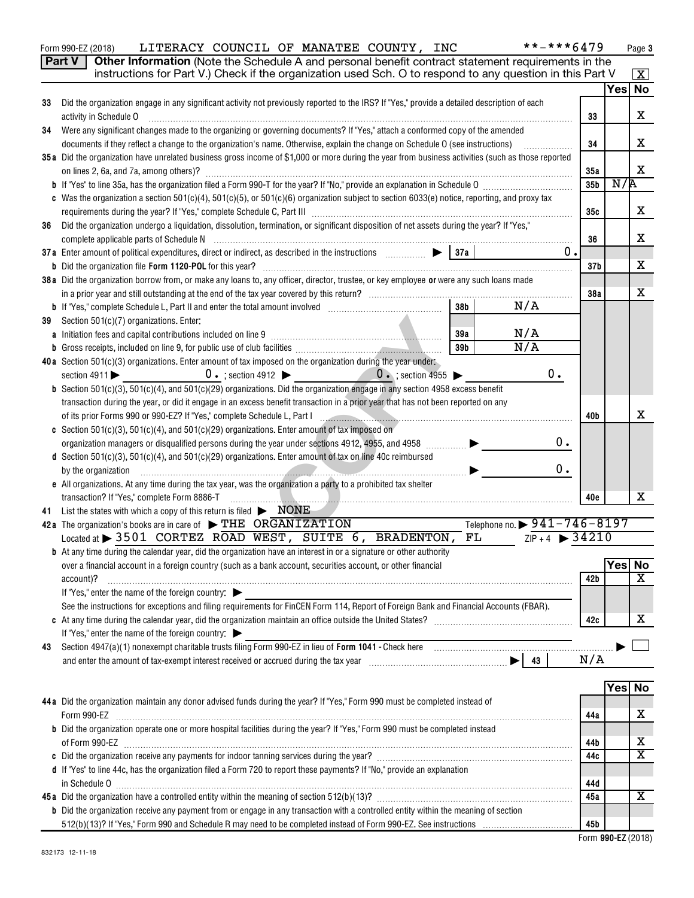| Form 990-EZ (2018) | LITERACY COUNCIL OF MANATEE COUNTY, INC |  |  | **-***6479                                                                                                               | Page |
|--------------------|-----------------------------------------|--|--|--------------------------------------------------------------------------------------------------------------------------|------|
|                    |                                         |  |  | <b>Part V</b> $\vert$ Other Information (Note the Schedule A and personal benefit contract statement requirements in the |      |

|    | instructions for Part V.) Check if the organization used Sch. O to respond to any question in this Part V                                         |                 |         | $\boxed{\textbf{X}}$  |
|----|---------------------------------------------------------------------------------------------------------------------------------------------------|-----------------|---------|-----------------------|
|    |                                                                                                                                                   |                 |         | Yes No                |
| 33 | Did the organization engage in any significant activity not previously reported to the IRS? If "Yes," provide a detailed description of each      |                 |         |                       |
|    | activity in Schedule O                                                                                                                            | 33              |         | x                     |
| 34 | Were any significant changes made to the organizing or governing documents? If "Yes," attach a conformed copy of the amended                      |                 |         |                       |
|    | documents if they reflect a change to the organization's name. Otherwise, explain the change on Schedule O (see instructions)                     | 34              |         | x                     |
|    | 35a Did the organization have unrelated business gross income of \$1,000 or more during the year from business activities (such as those reported |                 |         |                       |
|    |                                                                                                                                                   | 35a             |         | x                     |
|    |                                                                                                                                                   | 35 <sub>b</sub> | N/R     |                       |
|    | c Was the organization a section 501(c)(4), 501(c)(5), or 501(c)(6) organization subject to section 6033(e) notice, reporting, and proxy tax      |                 |         |                       |
|    |                                                                                                                                                   | 35с             |         | x                     |
| 36 | Did the organization undergo a liquidation, dissolution, termination, or significant disposition of net assets during the year? If "Yes,"         |                 |         |                       |
|    |                                                                                                                                                   | 36              |         | х                     |
|    | 37a Enter amount of political expenditures, direct or indirect, as described in the instructions $\Box$ $\Box$ $\Box$<br>0.                       |                 |         |                       |
|    |                                                                                                                                                   | 37 <sub>b</sub> |         | x                     |
|    | 38 a Did the organization borrow from, or make any loans to, any officer, director, trustee, or key employee or were any such loans made          |                 |         |                       |
|    |                                                                                                                                                   | 38a             |         | x                     |
|    | 38 <sub>b</sub><br>N/A                                                                                                                            |                 |         |                       |
|    |                                                                                                                                                   |                 |         |                       |
| 39 | Section 501(c)(7) organizations. Enter:<br>N/A<br>39a                                                                                             |                 |         |                       |
|    | N/A<br>39 <sub>b</sub>                                                                                                                            |                 |         |                       |
|    | <b>b</b> Gross receipts, included on line 9, for public use of club facilities <i>manufacture in the contemporary contemporary</i>                |                 |         |                       |
|    | 40a Section 501(c)(3) organizations. Enter amount of tax imposed on the organization during the year under:                                       |                 |         |                       |
|    | 0.<br>section 4911 $\triangleright$ 0. ; section 4912 $\triangleright$ 0. ; section 4955 $\triangleright$                                         |                 |         |                       |
|    | <b>b</b> Section 501(c)(3), 501(c)(4), and 501(c)(29) organizations. Did the organization engage in any section 4958 excess benefit               |                 |         |                       |
|    | transaction during the year, or did it engage in an excess benefit transaction in a prior year that has not been reported on any                  |                 |         |                       |
|    | of its prior Forms 990 or 990-EZ? If "Yes," complete Schedule L, Part I                                                                           | 40b             |         | x                     |
|    | c Section 501(c)(3), 501(c)(4), and 501(c)(29) organizations. Enter amount of tax imposed on                                                      |                 |         |                       |
|    | 0.<br>organization managers or disqualified persons during the year under sections 4912, 4955, and 4958                                           |                 |         |                       |
|    | d Section 501(c)(3), 501(c)(4), and 501(c)(29) organizations. Enter amount of tax on line 40c reimbursed                                          |                 |         |                       |
|    | 0.<br>by the organization                                                                                                                         |                 |         |                       |
|    | e All organizations. At any time during the tax year, was the organization a party to a prohibited tax shelter                                    |                 |         |                       |
|    | transaction? If "Yes," complete Form 8886-T                                                                                                       | 40e             |         | x                     |
|    | 41 List the states with which a copy of this return is filed $\triangleright$ NONE                                                                |                 |         |                       |
|    | Telephone no. > 941-746-8197<br>42a The organization's books are in care of FIHE ORGANIZATION                                                     |                 |         |                       |
|    | $ZIP + 4$ $\rightarrow$ 34210<br>Located at $>$ 3501 CORTEZ ROAD WEST, SUITE 6, BRADENTON,<br>FL.                                                 |                 |         |                       |
|    | <b>b</b> At any time during the calendar year, did the organization have an interest in or a signature or other authority                         |                 |         |                       |
|    | over a financial account in a foreign country (such as a bank account, securities account, or other financial                                     |                 | Yes  No |                       |
|    | account)?                                                                                                                                         | 42 b            |         | x                     |
|    | If "Yes," enter the name of the foreign country:                                                                                                  |                 |         |                       |
|    | See the instructions for exceptions and filing requirements for FinCEN Form 114, Report of Foreign Bank and Financial Accounts (FBAR).            |                 |         |                       |
|    |                                                                                                                                                   | 42c             |         | х                     |
|    | If "Yes," enter the name of the foreign country:                                                                                                  |                 |         |                       |
| 43 |                                                                                                                                                   |                 |         |                       |
|    |                                                                                                                                                   | N/A             |         |                       |
|    |                                                                                                                                                   |                 |         |                       |
|    |                                                                                                                                                   |                 |         | Yes No                |
|    | 44a Did the organization maintain any donor advised funds during the year? If "Yes," Form 990 must be completed instead of                        |                 |         |                       |
|    | Form 990-EZ                                                                                                                                       | 44a             |         | х                     |
|    | <b>b</b> Did the organization operate one or more hospital facilities during the year? If "Yes," Form 990 must be completed instead               |                 |         |                       |
|    |                                                                                                                                                   | 44b             |         | х                     |
|    |                                                                                                                                                   | 44c             |         | $\overline{\text{X}}$ |
|    | d If "Yes" to line 44c, has the organization filed a Form 720 to report these payments? If "No," provide an explanation                           |                 |         |                       |
|    |                                                                                                                                                   | 44d             |         |                       |
|    |                                                                                                                                                   | 45a             |         | X                     |
|    | <b>b</b> Did the organization receive any payment from or engage in any transaction with a controlled entity within the meaning of section        |                 |         |                       |
|    |                                                                                                                                                   | 45b             |         |                       |

 **990-EZ** Form (2018)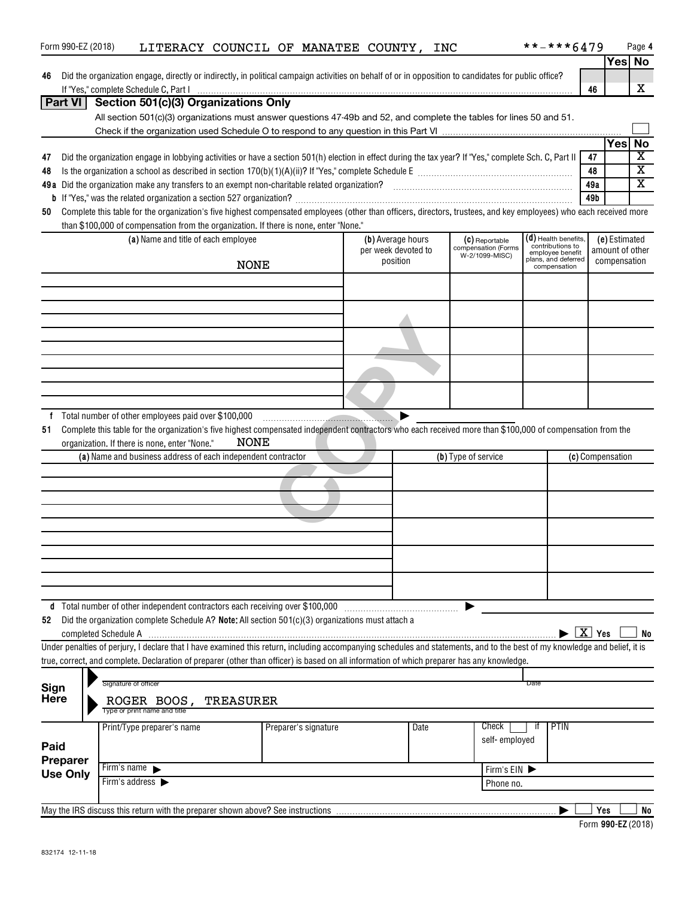| Form 990-EZ (2018)                                                                                                                                                        |                                      | LITERACY COUNCIL OF MANATEE COUNTY, INC                                                                                                                                                                                                                                     |             |  |                      |                     |      |                     |                                       |      | **-***6479                           |                    |                         | Page 4                  |
|---------------------------------------------------------------------------------------------------------------------------------------------------------------------------|--------------------------------------|-----------------------------------------------------------------------------------------------------------------------------------------------------------------------------------------------------------------------------------------------------------------------------|-------------|--|----------------------|---------------------|------|---------------------|---------------------------------------|------|--------------------------------------|--------------------|-------------------------|-------------------------|
|                                                                                                                                                                           |                                      |                                                                                                                                                                                                                                                                             |             |  |                      |                     |      |                     |                                       |      |                                      |                    |                         | Yes No                  |
| 46                                                                                                                                                                        |                                      | Did the organization engage, directly or indirectly, in political campaign activities on behalf of or in opposition to candidates for public office?                                                                                                                        |             |  |                      |                     |      |                     |                                       |      |                                      |                    |                         |                         |
|                                                                                                                                                                           |                                      | If "Yes," complete Schedule C, <u>Part Indiana and announcemman and a series and a series of the series of the schedule C, Part I</u>                                                                                                                                       |             |  |                      |                     |      |                     |                                       |      |                                      | 46                 |                         | x                       |
| Part VI                                                                                                                                                                   |                                      | Section 501(c)(3) Organizations Only                                                                                                                                                                                                                                        |             |  |                      |                     |      |                     |                                       |      |                                      |                    |                         |                         |
|                                                                                                                                                                           |                                      | All section 501(c)(3) organizations must answer questions 47-49b and 52, and complete the tables for lines 50 and 51.                                                                                                                                                       |             |  |                      |                     |      |                     |                                       |      |                                      |                    |                         |                         |
|                                                                                                                                                                           |                                      |                                                                                                                                                                                                                                                                             |             |  |                      |                     |      |                     |                                       |      |                                      |                    |                         |                         |
|                                                                                                                                                                           |                                      |                                                                                                                                                                                                                                                                             |             |  |                      |                     |      |                     |                                       |      |                                      |                    | <b>Yes</b>              | <b>No</b>               |
| 47                                                                                                                                                                        |                                      | Did the organization engage in lobbying activities or have a section 501(h) election in effect during the tax year? If "Yes," complete Sch. C, Part II                                                                                                                      |             |  |                      |                     |      |                     |                                       |      |                                      | 47                 |                         | $\overline{\textbf{X}}$ |
| 48                                                                                                                                                                        |                                      |                                                                                                                                                                                                                                                                             |             |  |                      |                     |      |                     |                                       |      | 48                                   |                    | $\overline{\textbf{x}}$ |                         |
|                                                                                                                                                                           |                                      |                                                                                                                                                                                                                                                                             |             |  |                      |                     |      |                     |                                       |      | 49a                                  |                    | $\overline{\text{x}}$   |                         |
| 49b<br>Complete this table for the organization's five highest compensated employees (other than officers, directors, trustees, and key employees) who each received more |                                      |                                                                                                                                                                                                                                                                             |             |  |                      |                     |      |                     |                                       |      |                                      |                    |                         |                         |
| 50                                                                                                                                                                        |                                      |                                                                                                                                                                                                                                                                             |             |  |                      |                     |      |                     |                                       |      |                                      |                    |                         |                         |
|                                                                                                                                                                           |                                      | than \$100,000 of compensation from the organization. If there is none, enter "None."<br>(a) Name and title of each employee                                                                                                                                                |             |  |                      | (b) Average hours   |      |                     |                                       |      | (d) Health benefits,                 |                    | (e) Estimated           |                         |
|                                                                                                                                                                           |                                      |                                                                                                                                                                                                                                                                             |             |  |                      | per week devoted to |      |                     | (C) Reportable<br>compensation (Forms |      | contributions to<br>employee benefit |                    | amount of other         |                         |
|                                                                                                                                                                           |                                      |                                                                                                                                                                                                                                                                             | <b>NONE</b> |  |                      | position            |      |                     | W-2/1099-MISC)                        |      | plans, and deferred<br>compensation  |                    | compensation            |                         |
|                                                                                                                                                                           |                                      |                                                                                                                                                                                                                                                                             |             |  |                      |                     |      |                     |                                       |      |                                      |                    |                         |                         |
|                                                                                                                                                                           |                                      |                                                                                                                                                                                                                                                                             |             |  |                      |                     |      |                     |                                       |      |                                      |                    |                         |                         |
|                                                                                                                                                                           |                                      |                                                                                                                                                                                                                                                                             |             |  |                      |                     |      |                     |                                       |      |                                      |                    |                         |                         |
|                                                                                                                                                                           |                                      |                                                                                                                                                                                                                                                                             |             |  |                      |                     |      |                     |                                       |      |                                      |                    |                         |                         |
|                                                                                                                                                                           |                                      |                                                                                                                                                                                                                                                                             |             |  |                      |                     |      |                     |                                       |      |                                      |                    |                         |                         |
|                                                                                                                                                                           |                                      |                                                                                                                                                                                                                                                                             |             |  |                      |                     |      |                     |                                       |      |                                      |                    |                         |                         |
|                                                                                                                                                                           |                                      |                                                                                                                                                                                                                                                                             |             |  |                      |                     |      |                     |                                       |      |                                      |                    |                         |                         |
|                                                                                                                                                                           |                                      |                                                                                                                                                                                                                                                                             |             |  |                      |                     |      |                     |                                       |      |                                      |                    |                         |                         |
|                                                                                                                                                                           |                                      |                                                                                                                                                                                                                                                                             |             |  |                      |                     |      |                     |                                       |      |                                      |                    |                         |                         |
|                                                                                                                                                                           |                                      |                                                                                                                                                                                                                                                                             |             |  |                      |                     |      |                     |                                       |      |                                      |                    |                         |                         |
| 51                                                                                                                                                                        |                                      | Complete this table for the organization's five highest compensated independent contractors who each received more than \$100,000 of compensation from the<br>organization. If there is none, enter "None."<br>(a) Name and business address of each independent contractor | NONE        |  |                      |                     |      | (b) Type of service |                                       |      |                                      |                    | (c) Compensation        |                         |
|                                                                                                                                                                           |                                      |                                                                                                                                                                                                                                                                             |             |  |                      |                     |      |                     |                                       |      |                                      |                    |                         |                         |
|                                                                                                                                                                           |                                      |                                                                                                                                                                                                                                                                             |             |  |                      |                     |      |                     |                                       |      |                                      |                    |                         |                         |
|                                                                                                                                                                           |                                      |                                                                                                                                                                                                                                                                             |             |  |                      |                     |      |                     |                                       |      |                                      |                    |                         |                         |
|                                                                                                                                                                           |                                      |                                                                                                                                                                                                                                                                             |             |  |                      |                     |      |                     |                                       |      |                                      |                    |                         |                         |
|                                                                                                                                                                           |                                      |                                                                                                                                                                                                                                                                             |             |  |                      |                     |      |                     |                                       |      |                                      |                    |                         |                         |
|                                                                                                                                                                           |                                      |                                                                                                                                                                                                                                                                             |             |  |                      |                     |      |                     |                                       |      |                                      |                    |                         |                         |
|                                                                                                                                                                           |                                      |                                                                                                                                                                                                                                                                             |             |  |                      |                     |      |                     |                                       |      |                                      |                    |                         |                         |
|                                                                                                                                                                           |                                      |                                                                                                                                                                                                                                                                             |             |  |                      |                     |      |                     |                                       |      |                                      |                    |                         |                         |
|                                                                                                                                                                           |                                      |                                                                                                                                                                                                                                                                             |             |  |                      |                     |      |                     |                                       |      |                                      |                    |                         |                         |
|                                                                                                                                                                           |                                      |                                                                                                                                                                                                                                                                             |             |  |                      |                     |      |                     |                                       |      |                                      |                    |                         |                         |
|                                                                                                                                                                           |                                      | d Total number of other independent contractors each receiving over \$100,000                                                                                                                                                                                               |             |  |                      |                     |      |                     |                                       |      |                                      |                    |                         |                         |
| 52                                                                                                                                                                        | completed Schedule A                 | Did the organization complete Schedule A? Note: All section 501(c)(3) organizations must attach a                                                                                                                                                                           |             |  |                      |                     |      |                     |                                       |      |                                      | $\overline{X}$ Yes |                         | No                      |
|                                                                                                                                                                           |                                      | Under penalties of perjury, I declare that I have examined this return, including accompanying schedules and statements, and to the best of my knowledge and belief, it is                                                                                                  |             |  |                      |                     |      |                     |                                       |      |                                      |                    |                         |                         |
|                                                                                                                                                                           |                                      | true, correct, and complete. Declaration of preparer (other than officer) is based on all information of which preparer has any knowledge.                                                                                                                                  |             |  |                      |                     |      |                     |                                       |      |                                      |                    |                         |                         |
|                                                                                                                                                                           |                                      |                                                                                                                                                                                                                                                                             |             |  |                      |                     |      |                     |                                       |      |                                      |                    |                         |                         |
| Sign                                                                                                                                                                      | Signature of officer                 |                                                                                                                                                                                                                                                                             |             |  |                      |                     |      |                     |                                       | Date |                                      |                    |                         |                         |
| Here                                                                                                                                                                      |                                      | ROGER BOOS, TREASURER                                                                                                                                                                                                                                                       |             |  |                      |                     |      |                     |                                       |      |                                      |                    |                         |                         |
|                                                                                                                                                                           |                                      | Type or print name and title                                                                                                                                                                                                                                                |             |  |                      |                     |      |                     |                                       |      |                                      |                    |                         |                         |
|                                                                                                                                                                           |                                      | Print/Type preparer's name                                                                                                                                                                                                                                                  |             |  | Preparer's signature |                     | Date |                     | Check                                 | it.  | PTIN                                 |                    |                         |                         |
| Paid                                                                                                                                                                      |                                      |                                                                                                                                                                                                                                                                             |             |  |                      |                     |      |                     | self-employed                         |      |                                      |                    |                         |                         |
|                                                                                                                                                                           |                                      |                                                                                                                                                                                                                                                                             |             |  |                      |                     |      |                     |                                       |      |                                      |                    |                         |                         |
| <b>Preparer</b><br><b>Use Only</b>                                                                                                                                        | Firm's name $\blacktriangleright$    |                                                                                                                                                                                                                                                                             |             |  |                      |                     |      |                     | Firm's EIN                            |      |                                      |                    |                         |                         |
|                                                                                                                                                                           | Firm's address $\blacktriangleright$ |                                                                                                                                                                                                                                                                             |             |  |                      |                     |      |                     | Phone no.                             |      |                                      |                    |                         |                         |
|                                                                                                                                                                           |                                      |                                                                                                                                                                                                                                                                             |             |  |                      |                     |      |                     |                                       |      |                                      |                    |                         |                         |
|                                                                                                                                                                           |                                      |                                                                                                                                                                                                                                                                             |             |  |                      |                     |      |                     |                                       |      |                                      | Yes                |                         | No                      |

| Form 990-EZ (2018) |  |
|--------------------|--|
|                    |  |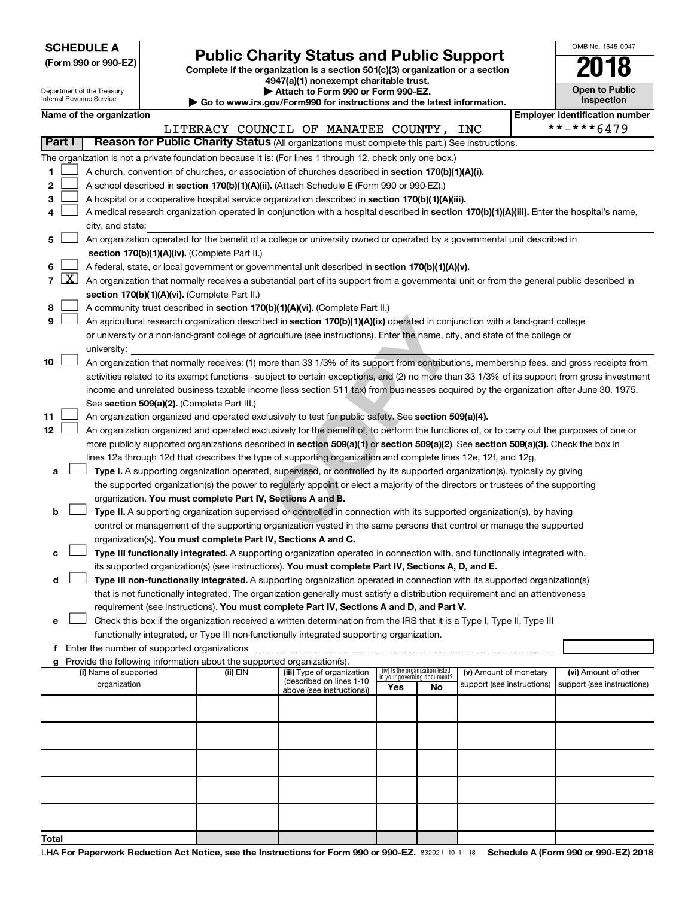Department of the Treasury Internal Revenue Service

| (Form 990 or 990-EZ) |  |  |
|----------------------|--|--|
|                      |  |  |

Form 990 or 990-EZ)<br>
Complete if the organization is a section 501(c)(3) organization or a section<br> **Public Charity Status and Public Support 4947(a)(1) nonexempt charitable trust.**

**| Attach to Form 990 or Form 990-EZ.** 

**| Go to www.irs.gov/Form990 for instructions and the latest information.**

| OMB No. 1545-0047                   |
|-------------------------------------|
| 01                                  |
| <b>Open to Public</b><br>Inspection |
|                                     |

 $\Box$ 

|    |                                                                                                  |                          |                                               |          |  | $\sim$ Go to www.ii s.gov/r ormaso for mad deducts and the latest information.                                                     |  |                                                                |    |                            |                                                                                                                                               |  |
|----|--------------------------------------------------------------------------------------------------|--------------------------|-----------------------------------------------|----------|--|------------------------------------------------------------------------------------------------------------------------------------|--|----------------------------------------------------------------|----|----------------------------|-----------------------------------------------------------------------------------------------------------------------------------------------|--|
|    |                                                                                                  | Name of the organization |                                               |          |  |                                                                                                                                    |  |                                                                |    |                            | <b>Employer identification number</b><br>**-***6479                                                                                           |  |
|    |                                                                                                  |                          |                                               |          |  | LITERACY COUNCIL OF MANATEE COUNTY,                                                                                                |  |                                                                |    | INC                        |                                                                                                                                               |  |
|    | Part I                                                                                           |                          |                                               |          |  | Reason for Public Charity Status (All organizations must complete this part.) See instructions.                                    |  |                                                                |    |                            |                                                                                                                                               |  |
|    |                                                                                                  |                          |                                               |          |  | The organization is not a private foundation because it is: (For lines 1 through 12, check only one box.)                          |  |                                                                |    |                            |                                                                                                                                               |  |
| 1. |                                                                                                  |                          |                                               |          |  | A church, convention of churches, or association of churches described in section 170(b)(1)(A)(i).                                 |  |                                                                |    |                            |                                                                                                                                               |  |
| 2  |                                                                                                  |                          |                                               |          |  | A school described in section 170(b)(1)(A)(ii). (Attach Schedule E (Form 990 or 990-EZ).)                                          |  |                                                                |    |                            |                                                                                                                                               |  |
| 3  |                                                                                                  |                          |                                               |          |  | A hospital or a cooperative hospital service organization described in section 170(b)(1)(A)(iii).                                  |  |                                                                |    |                            |                                                                                                                                               |  |
| 4  |                                                                                                  |                          |                                               |          |  |                                                                                                                                    |  |                                                                |    |                            | A medical research organization operated in conjunction with a hospital described in section 170(b)(1)(A)(iii). Enter the hospital's name,    |  |
|    |                                                                                                  | city, and state:         |                                               |          |  |                                                                                                                                    |  |                                                                |    |                            |                                                                                                                                               |  |
| 5  |                                                                                                  |                          |                                               |          |  | An organization operated for the benefit of a college or university owned or operated by a governmental unit described in          |  |                                                                |    |                            |                                                                                                                                               |  |
|    |                                                                                                  |                          | section 170(b)(1)(A)(iv). (Complete Part II.) |          |  |                                                                                                                                    |  |                                                                |    |                            |                                                                                                                                               |  |
| 6  | A federal, state, or local government or governmental unit described in section 170(b)(1)(A)(v). |                          |                                               |          |  |                                                                                                                                    |  |                                                                |    |                            |                                                                                                                                               |  |
| 7  | <u>  X  </u>                                                                                     |                          |                                               |          |  |                                                                                                                                    |  |                                                                |    |                            | An organization that normally receives a substantial part of its support from a governmental unit or from the general public described in     |  |
|    |                                                                                                  |                          | section 170(b)(1)(A)(vi). (Complete Part II.) |          |  |                                                                                                                                    |  |                                                                |    |                            |                                                                                                                                               |  |
| 8  |                                                                                                  |                          |                                               |          |  | A community trust described in section 170(b)(1)(A)(vi). (Complete Part II.)                                                       |  |                                                                |    |                            |                                                                                                                                               |  |
| 9  |                                                                                                  |                          |                                               |          |  | An agricultural research organization described in section 170(b)(1)(A)(ix) operated in conjunction with a land-grant college      |  |                                                                |    |                            |                                                                                                                                               |  |
|    |                                                                                                  |                          |                                               |          |  | or university or a non-land-grant college of agriculture (see instructions). Enter the name, city, and state of the college or     |  |                                                                |    |                            |                                                                                                                                               |  |
|    |                                                                                                  | university:              |                                               |          |  |                                                                                                                                    |  |                                                                |    |                            |                                                                                                                                               |  |
| 10 |                                                                                                  |                          |                                               |          |  |                                                                                                                                    |  |                                                                |    |                            | An organization that normally receives: (1) more than 33 1/3% of its support from contributions, membership fees, and gross receipts from     |  |
|    |                                                                                                  |                          |                                               |          |  |                                                                                                                                    |  |                                                                |    |                            | activities related to its exempt functions - subject to certain exceptions, and (2) no more than 33 1/3% of its support from gross investment |  |
|    |                                                                                                  |                          |                                               |          |  |                                                                                                                                    |  |                                                                |    |                            | income and unrelated business taxable income (less section 511 tax) from businesses acquired by the organization after June 30, 1975.         |  |
|    |                                                                                                  |                          | See section 509(a)(2). (Complete Part III.)   |          |  |                                                                                                                                    |  |                                                                |    |                            |                                                                                                                                               |  |
| 11 |                                                                                                  |                          |                                               |          |  | An organization organized and operated exclusively to test for public safety. See section 509(a)(4).                               |  |                                                                |    |                            |                                                                                                                                               |  |
| 12 |                                                                                                  |                          |                                               |          |  |                                                                                                                                    |  |                                                                |    |                            | An organization organized and operated exclusively for the benefit of, to perform the functions of, or to carry out the purposes of one or    |  |
|    |                                                                                                  |                          |                                               |          |  | more publicly supported organizations described in section 509(a)(1) or section 509(a)(2). See section 509(a)(3). Check the box in |  |                                                                |    |                            |                                                                                                                                               |  |
|    |                                                                                                  |                          |                                               |          |  | lines 12a through 12d that describes the type of supporting organization and complete lines 12e, 12f, and 12g.                     |  |                                                                |    |                            |                                                                                                                                               |  |
| а  |                                                                                                  |                          |                                               |          |  | Type I. A supporting organization operated, supervised, or controlled by its supported organization(s), typically by giving        |  |                                                                |    |                            |                                                                                                                                               |  |
|    |                                                                                                  |                          |                                               |          |  | the supported organization(s) the power to regularly appoint or elect a majority of the directors or trustees of the supporting    |  |                                                                |    |                            |                                                                                                                                               |  |
|    |                                                                                                  |                          |                                               |          |  | organization. You must complete Part IV, Sections A and B.                                                                         |  |                                                                |    |                            |                                                                                                                                               |  |
| b  |                                                                                                  |                          |                                               |          |  | Type II. A supporting organization supervised or controlled in connection with its supported organization(s), by having            |  |                                                                |    |                            |                                                                                                                                               |  |
|    |                                                                                                  |                          |                                               |          |  | control or management of the supporting organization vested in the same persons that control or manage the supported               |  |                                                                |    |                            |                                                                                                                                               |  |
|    |                                                                                                  |                          |                                               |          |  | organization(s). You must complete Part IV, Sections A and C.                                                                      |  |                                                                |    |                            |                                                                                                                                               |  |
| с  |                                                                                                  |                          |                                               |          |  | Type III functionally integrated. A supporting organization operated in connection with, and functionally integrated with,         |  |                                                                |    |                            |                                                                                                                                               |  |
|    |                                                                                                  |                          |                                               |          |  | its supported organization(s) (see instructions). You must complete Part IV, Sections A, D, and E.                                 |  |                                                                |    |                            |                                                                                                                                               |  |
| d  |                                                                                                  |                          |                                               |          |  | Type III non-functionally integrated. A supporting organization operated in connection with its supported organization(s)          |  |                                                                |    |                            |                                                                                                                                               |  |
|    |                                                                                                  |                          |                                               |          |  | that is not functionally integrated. The organization generally must satisfy a distribution requirement and an attentiveness       |  |                                                                |    |                            |                                                                                                                                               |  |
|    |                                                                                                  |                          |                                               |          |  | requirement (see instructions). You must complete Part IV, Sections A and D, and Part V.                                           |  |                                                                |    |                            |                                                                                                                                               |  |
| е  |                                                                                                  |                          |                                               |          |  | Check this box if the organization received a written determination from the IRS that it is a Type I, Type II, Type III            |  |                                                                |    |                            |                                                                                                                                               |  |
|    |                                                                                                  |                          |                                               |          |  | functionally integrated, or Type III non-functionally integrated supporting organization.                                          |  |                                                                |    |                            |                                                                                                                                               |  |
| f  |                                                                                                  |                          | Enter the number of supported organizations   |          |  |                                                                                                                                    |  |                                                                |    |                            |                                                                                                                                               |  |
| a  |                                                                                                  |                          |                                               |          |  | Provide the following information about the supported organization(s).                                                             |  |                                                                |    |                            |                                                                                                                                               |  |
|    |                                                                                                  | (i) Name of supported    |                                               | (ii) EIN |  | (iii) Type of organization                                                                                                         |  | (iv) Is the organization listed<br>in your governing document? |    | (v) Amount of monetary     | (vi) Amount of other                                                                                                                          |  |
|    |                                                                                                  | organization             |                                               |          |  | (described on lines 1-10<br>above (see instructions))                                                                              |  | Yes                                                            | No | support (see instructions) | support (see instructions)                                                                                                                    |  |
|    |                                                                                                  |                          |                                               |          |  |                                                                                                                                    |  |                                                                |    |                            |                                                                                                                                               |  |
|    |                                                                                                  |                          |                                               |          |  |                                                                                                                                    |  |                                                                |    |                            |                                                                                                                                               |  |
|    |                                                                                                  |                          |                                               |          |  |                                                                                                                                    |  |                                                                |    |                            |                                                                                                                                               |  |
|    |                                                                                                  |                          |                                               |          |  |                                                                                                                                    |  |                                                                |    |                            |                                                                                                                                               |  |
|    |                                                                                                  |                          |                                               |          |  |                                                                                                                                    |  |                                                                |    |                            |                                                                                                                                               |  |
|    |                                                                                                  |                          |                                               |          |  |                                                                                                                                    |  |                                                                |    |                            |                                                                                                                                               |  |
|    |                                                                                                  |                          |                                               |          |  |                                                                                                                                    |  |                                                                |    |                            |                                                                                                                                               |  |
|    |                                                                                                  |                          |                                               |          |  |                                                                                                                                    |  |                                                                |    |                            |                                                                                                                                               |  |
|    |                                                                                                  |                          |                                               |          |  |                                                                                                                                    |  |                                                                |    |                            |                                                                                                                                               |  |
|    |                                                                                                  |                          |                                               |          |  |                                                                                                                                    |  |                                                                |    |                            |                                                                                                                                               |  |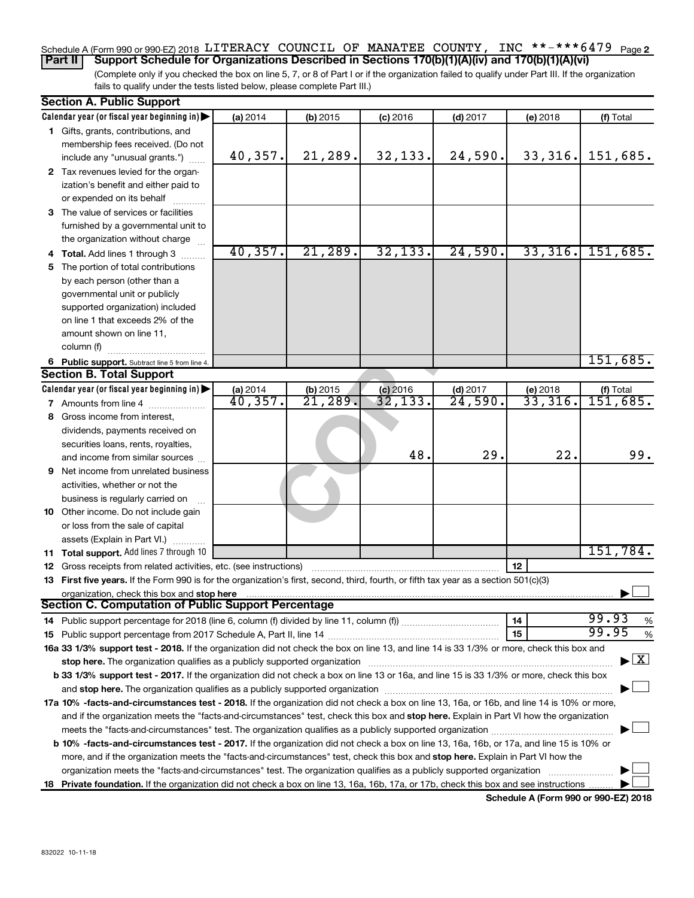#### Schedule A (Form 990 or 990-EZ) 2018 LITERACY COUNCIL OF MANATEE COUNTY, INC \*\*-\*\*\*6479  $_{\sf Page\,2}$ **Part II Support Schedule for Organizations Described in Sections 170(b)(1)(A)(iv) and 170(b)(1)(A)(vi)**

(Complete only if you checked the box on line 5, 7, or 8 of Part I or if the organization failed to qualify under Part III. If the organization fails to qualify under the tests listed below, please complete Part III.)

|    | <b>Section A. Public Support</b>                                                                                                                                                                                              |          |                        |            |                     |                       |                                          |
|----|-------------------------------------------------------------------------------------------------------------------------------------------------------------------------------------------------------------------------------|----------|------------------------|------------|---------------------|-----------------------|------------------------------------------|
|    | Calendar year (or fiscal year beginning in)                                                                                                                                                                                   | (a) 2014 | $(b)$ 2015             | $(c)$ 2016 | $(d)$ 2017          | $(e)$ 2018            | (f) Total                                |
|    | 1 Gifts, grants, contributions, and                                                                                                                                                                                           |          |                        |            |                     |                       |                                          |
|    | membership fees received. (Do not                                                                                                                                                                                             |          |                        |            |                     |                       |                                          |
|    | include any "unusual grants.")                                                                                                                                                                                                | 40,357.  | 21,289.                | 32,133.    | 24,590.             | 33, 316.              | 151,685.                                 |
|    | 2 Tax revenues levied for the organ-                                                                                                                                                                                          |          |                        |            |                     |                       |                                          |
|    | ization's benefit and either paid to                                                                                                                                                                                          |          |                        |            |                     |                       |                                          |
|    | or expended on its behalf                                                                                                                                                                                                     |          |                        |            |                     |                       |                                          |
|    | 3 The value of services or facilities                                                                                                                                                                                         |          |                        |            |                     |                       |                                          |
|    | furnished by a governmental unit to                                                                                                                                                                                           |          |                        |            |                     |                       |                                          |
|    | the organization without charge                                                                                                                                                                                               |          |                        |            |                     |                       |                                          |
|    | 4 Total. Add lines 1 through 3                                                                                                                                                                                                | 40,357.  | 21,289.                | 32, 133.   | 24,590.             | 33,316.               | 151,685.                                 |
|    | 5 The portion of total contributions                                                                                                                                                                                          |          |                        |            |                     |                       |                                          |
|    | by each person (other than a                                                                                                                                                                                                  |          |                        |            |                     |                       |                                          |
|    | governmental unit or publicly                                                                                                                                                                                                 |          |                        |            |                     |                       |                                          |
|    | supported organization) included                                                                                                                                                                                              |          |                        |            |                     |                       |                                          |
|    | on line 1 that exceeds 2% of the                                                                                                                                                                                              |          |                        |            |                     |                       |                                          |
|    | amount shown on line 11,                                                                                                                                                                                                      |          |                        |            |                     |                       |                                          |
|    | column (f)                                                                                                                                                                                                                    |          |                        |            |                     |                       |                                          |
|    | 6 Public support. Subtract line 5 from line 4.                                                                                                                                                                                |          |                        |            |                     |                       | 151,685.                                 |
|    | <b>Section B. Total Support</b>                                                                                                                                                                                               |          |                        |            |                     |                       |                                          |
|    | Calendar year (or fiscal year beginning in)                                                                                                                                                                                   | (a) 2014 | (b) 2015               | $(c)$ 2016 | $(d)$ 2017          | (e) 2018              | (f) Total                                |
|    | <b>7</b> Amounts from line 4                                                                                                                                                                                                  | 40,357.  | $\overline{21}$ , 289. | 32,133.    | $\overline{24,590}$ | $\overline{33,316}$ . | 151,685.                                 |
|    | 8 Gross income from interest,                                                                                                                                                                                                 |          |                        |            |                     |                       |                                          |
|    | dividends, payments received on                                                                                                                                                                                               |          |                        |            |                     |                       |                                          |
|    | securities loans, rents, royalties,                                                                                                                                                                                           |          |                        |            |                     |                       |                                          |
|    | and income from similar sources                                                                                                                                                                                               |          |                        | 48.        | 29.                 | 22.                   | 99.                                      |
| 9. | Net income from unrelated business                                                                                                                                                                                            |          |                        |            |                     |                       |                                          |
|    | activities, whether or not the                                                                                                                                                                                                |          |                        |            |                     |                       |                                          |
|    | business is regularly carried on                                                                                                                                                                                              |          |                        |            |                     |                       |                                          |
|    | 10 Other income. Do not include gain                                                                                                                                                                                          |          |                        |            |                     |                       |                                          |
|    | or loss from the sale of capital                                                                                                                                                                                              |          |                        |            |                     |                       |                                          |
|    | assets (Explain in Part VI.)                                                                                                                                                                                                  |          |                        |            |                     |                       |                                          |
|    | 11 Total support. Add lines 7 through 10                                                                                                                                                                                      |          |                        |            |                     |                       | 151,784.                                 |
|    | 12 Gross receipts from related activities, etc. (see instructions)                                                                                                                                                            |          |                        |            |                     | 12                    |                                          |
|    | 13 First five years. If the Form 990 is for the organization's first, second, third, fourth, or fifth tax year as a section 501(c)(3)                                                                                         |          |                        |            |                     |                       |                                          |
|    | organization, check this box and stop here                                                                                                                                                                                    |          |                        |            |                     |                       |                                          |
|    | <b>Section C. Computation of Public Support Percentage</b>                                                                                                                                                                    |          |                        |            |                     |                       |                                          |
|    |                                                                                                                                                                                                                               |          |                        |            |                     | 14                    | 99.93<br>%                               |
|    |                                                                                                                                                                                                                               |          |                        |            |                     | 15                    | 99.95<br>%                               |
|    | 16a 33 1/3% support test - 2018. If the organization did not check the box on line 13, and line 14 is 33 1/3% or more, check this box and                                                                                     |          |                        |            |                     |                       |                                          |
|    | stop here. The organization qualifies as a publicly supported organization [11] manuscription manuscription manuscription of the original state of the state of the state of the state of the state of the state of the state |          |                        |            |                     |                       | $\blacktriangleright$ $\boxed{\text{X}}$ |
|    | b 33 1/3% support test - 2017. If the organization did not check a box on line 13 or 16a, and line 15 is 33 1/3% or more, check this box                                                                                      |          |                        |            |                     |                       |                                          |
|    |                                                                                                                                                                                                                               |          |                        |            |                     |                       |                                          |
|    | 17a 10% -facts-and-circumstances test - 2018. If the organization did not check a box on line 13, 16a, or 16b, and line 14 is 10% or more,                                                                                    |          |                        |            |                     |                       |                                          |
|    | and if the organization meets the "facts-and-circumstances" test, check this box and stop here. Explain in Part VI how the organization                                                                                       |          |                        |            |                     |                       |                                          |
|    |                                                                                                                                                                                                                               |          |                        |            |                     |                       |                                          |
|    | b 10% -facts-and-circumstances test - 2017. If the organization did not check a box on line 13, 16a, 16b, or 17a, and line 15 is 10% or                                                                                       |          |                        |            |                     |                       |                                          |
|    | more, and if the organization meets the "facts-and-circumstances" test, check this box and stop here. Explain in Part VI how the                                                                                              |          |                        |            |                     |                       |                                          |
|    | organization meets the "facts-and-circumstances" test. The organization qualifies as a publicly supported organization                                                                                                        |          |                        |            |                     |                       |                                          |
|    | 18 Private foundation. If the organization did not check a box on line 13, 16a, 16b, 17a, or 17b, check this box and see instructions                                                                                         |          |                        |            |                     |                       |                                          |
|    |                                                                                                                                                                                                                               |          |                        |            |                     |                       |                                          |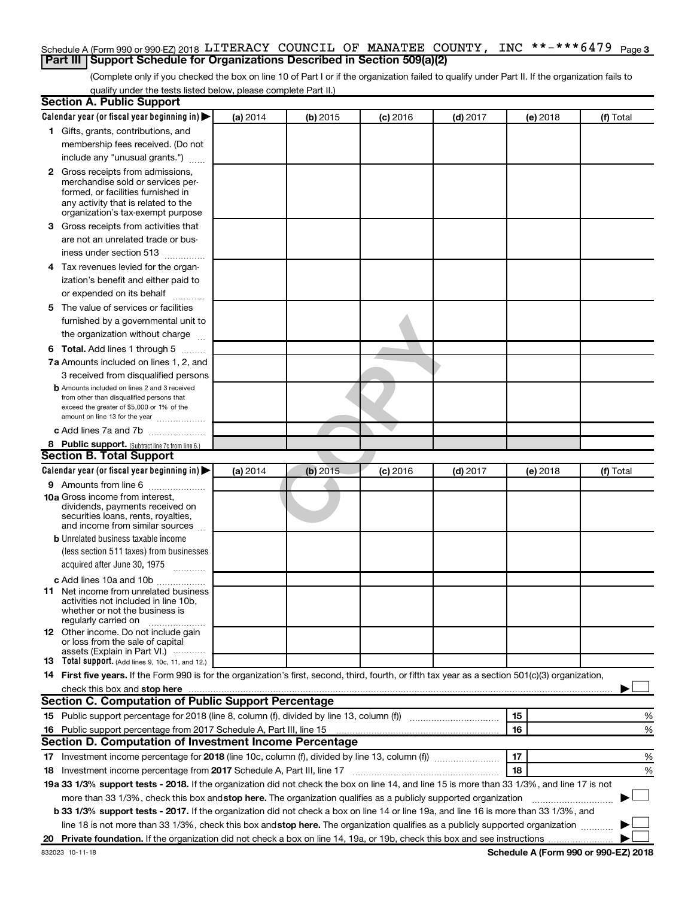## Schedule A (Form 990 or 990-EZ) 2018 LITERACY COUNCIL OF MANATEE COUNTY, INC \*\*-\*\*\*6479  $_{\sf Page}$  3 **Part III Support Schedule for Organizations Described in Section 509(a)(2)**

(Complete only if you checked the box on line 10 of Part I or if the organization failed to qualify under Part II. If the organization fails to qualify under the tests listed below, please complete Part II.)

| <b>Section A. Public Support</b>                                                                                                                                                                                               |          |          |            |            |          |           |
|--------------------------------------------------------------------------------------------------------------------------------------------------------------------------------------------------------------------------------|----------|----------|------------|------------|----------|-----------|
| Calendar year (or fiscal year beginning in)                                                                                                                                                                                    | (a) 2014 | (b) 2015 | $(c)$ 2016 | $(d)$ 2017 | (e) 2018 | (f) Total |
| 1 Gifts, grants, contributions, and                                                                                                                                                                                            |          |          |            |            |          |           |
| membership fees received. (Do not                                                                                                                                                                                              |          |          |            |            |          |           |
| include any "unusual grants.")                                                                                                                                                                                                 |          |          |            |            |          |           |
| 2 Gross receipts from admissions,                                                                                                                                                                                              |          |          |            |            |          |           |
| merchandise sold or services per-                                                                                                                                                                                              |          |          |            |            |          |           |
| formed, or facilities furnished in                                                                                                                                                                                             |          |          |            |            |          |           |
| any activity that is related to the<br>organization's tax-exempt purpose                                                                                                                                                       |          |          |            |            |          |           |
| 3 Gross receipts from activities that                                                                                                                                                                                          |          |          |            |            |          |           |
| are not an unrelated trade or bus-                                                                                                                                                                                             |          |          |            |            |          |           |
| iness under section 513                                                                                                                                                                                                        |          |          |            |            |          |           |
| 4 Tax revenues levied for the organ-                                                                                                                                                                                           |          |          |            |            |          |           |
| ization's benefit and either paid to                                                                                                                                                                                           |          |          |            |            |          |           |
| or expended on its behalf                                                                                                                                                                                                      |          |          |            |            |          |           |
| 5 The value of services or facilities                                                                                                                                                                                          |          |          |            |            |          |           |
| furnished by a governmental unit to                                                                                                                                                                                            |          |          |            |            |          |           |
| the organization without charge                                                                                                                                                                                                |          |          |            |            |          |           |
| 6 Total. Add lines 1 through 5                                                                                                                                                                                                 |          |          |            |            |          |           |
| 7a Amounts included on lines 1, 2, and                                                                                                                                                                                         |          |          |            |            |          |           |
| 3 received from disqualified persons                                                                                                                                                                                           |          |          |            |            |          |           |
| <b>b</b> Amounts included on lines 2 and 3 received                                                                                                                                                                            |          |          |            |            |          |           |
| from other than disqualified persons that                                                                                                                                                                                      |          |          |            |            |          |           |
| exceed the greater of \$5,000 or 1% of the<br>amount on line 13 for the year                                                                                                                                                   |          |          |            |            |          |           |
| c Add lines 7a and 7b                                                                                                                                                                                                          |          |          |            |            |          |           |
| 8 Public support. (Subtract line 7c from line 6.)                                                                                                                                                                              |          |          |            |            |          |           |
| <b>Section B. Total Support</b>                                                                                                                                                                                                |          |          |            |            |          |           |
| Calendar year (or fiscal year beginning in)                                                                                                                                                                                    | (a) 2014 | (b) 2015 | $(c)$ 2016 | $(d)$ 2017 | (e) 2018 | (f) Total |
| 9 Amounts from line 6                                                                                                                                                                                                          |          |          |            |            |          |           |
| <b>10a</b> Gross income from interest,                                                                                                                                                                                         |          |          |            |            |          |           |
| dividends, payments received on                                                                                                                                                                                                |          |          |            |            |          |           |
| securities loans, rents, royalties,<br>and income from similar sources                                                                                                                                                         |          |          |            |            |          |           |
| <b>b</b> Unrelated business taxable income                                                                                                                                                                                     |          |          |            |            |          |           |
| (less section 511 taxes) from businesses                                                                                                                                                                                       |          |          |            |            |          |           |
| acquired after June 30, 1975                                                                                                                                                                                                   |          |          |            |            |          |           |
| c Add lines 10a and 10b                                                                                                                                                                                                        |          |          |            |            |          |           |
| <b>11</b> Net income from unrelated business                                                                                                                                                                                   |          |          |            |            |          |           |
| activities not included in line 10b.                                                                                                                                                                                           |          |          |            |            |          |           |
| whether or not the business is<br>regularly carried on                                                                                                                                                                         |          |          |            |            |          |           |
| <b>12</b> Other income. Do not include gain                                                                                                                                                                                    |          |          |            |            |          |           |
| or loss from the sale of capital<br>assets (Explain in Part VI.)                                                                                                                                                               |          |          |            |            |          |           |
| <b>13</b> Total support. (Add lines 9, 10c, 11, and 12.)                                                                                                                                                                       |          |          |            |            |          |           |
| 14 First five years. If the Form 990 is for the organization's first, second, third, fourth, or fifth tax year as a section 501(c)(3) organization,                                                                            |          |          |            |            |          |           |
| check this box and stop here measurements are all the state of the state of the state of the state of the state of the state of the state of the state of the state of the state of the state of the state of the state of the |          |          |            |            |          |           |
| Section C. Computation of Public Support Percentage                                                                                                                                                                            |          |          |            |            |          |           |
| 15 Public support percentage for 2018 (line 8, column (f), divided by line 13, column (f) <i></i>                                                                                                                              |          |          |            |            | 15       | %         |
| 16 Public support percentage from 2017 Schedule A, Part III, line 15                                                                                                                                                           |          |          |            |            | 16       | %         |
| Section D. Computation of Investment Income Percentage                                                                                                                                                                         |          |          |            |            |          |           |
| 17 Investment income percentage for 2018 (line 10c, column (f), divided by line 13, column (f))                                                                                                                                |          |          |            |            | 17       | %         |
| 18 Investment income percentage from 2017 Schedule A, Part III, line 17                                                                                                                                                        |          |          |            |            | 18       | %         |
| 19a 33 1/3% support tests - 2018. If the organization did not check the box on line 14, and line 15 is more than 33 1/3%, and line 17 is not                                                                                   |          |          |            |            |          |           |
| more than 33 1/3%, check this box and stop here. The organization qualifies as a publicly supported organization                                                                                                               |          |          |            |            |          |           |
| <b>b 33 1/3% support tests - 2017.</b> If the organization did not check a box on line 14 or line 19a, and line 16 is more than 33 1/3%, and                                                                                   |          |          |            |            |          |           |
| line 18 is not more than 33 1/3%, check this box and stop here. The organization qualifies as a publicly supported organization                                                                                                |          |          |            |            |          |           |
|                                                                                                                                                                                                                                |          |          |            |            |          |           |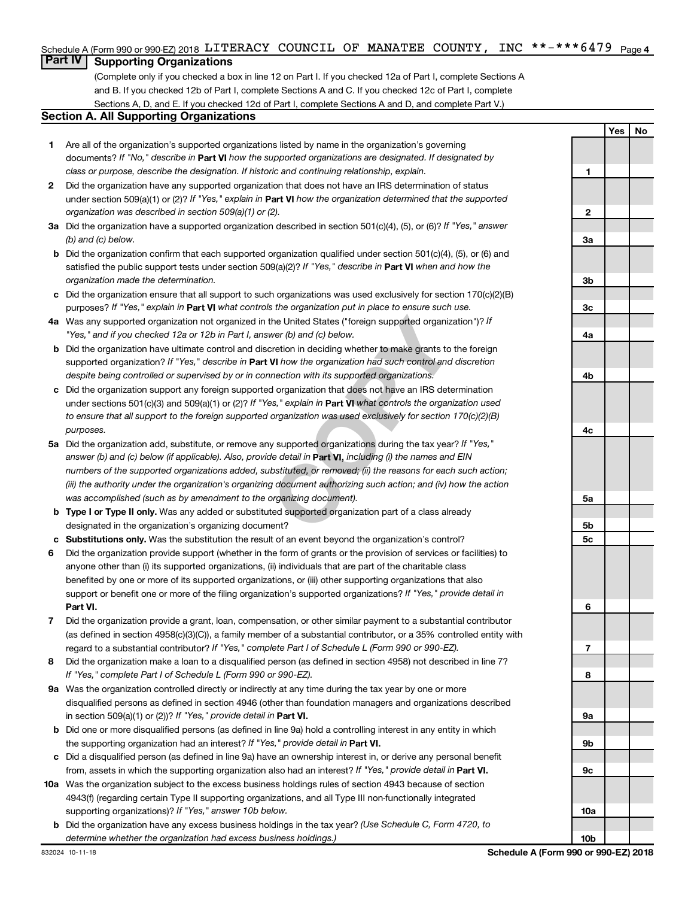#### INC \*\*-\*\*\*6479  $_{\text{Paqe 4}}$ Schedule A (Form 990 or 990-EZ) 2018 LITERACY COUNCIL OF MANATEE COUNTY, INC \*\*-\*\*\*6479 Page

# **Part IV Supporting Organizations**

(Complete only if you checked a box in line 12 on Part I. If you checked 12a of Part I, complete Sections A and B. If you checked 12b of Part I, complete Sections A and C. If you checked 12c of Part I, complete Sections A, D, and E. If you checked 12d of Part I, complete Sections A and D, and complete Part V.)

## **Section A. All Supporting Organizations**

- **1** Are all of the organization's supported organizations listed by name in the organization's governing documents? If "No," describe in Part VI how the supported organizations are designated. If designated by *class or purpose, describe the designation. If historic and continuing relationship, explain.*
- **2** Did the organization have any supported organization that does not have an IRS determination of status under section 509(a)(1) or (2)? If "Yes," explain in Part **VI** how the organization determined that the supported *organization was described in section 509(a)(1) or (2).*
- **3a** Did the organization have a supported organization described in section 501(c)(4), (5), or (6)? If "Yes," answer *(b) and (c) below.*
- **b** Did the organization confirm that each supported organization qualified under section 501(c)(4), (5), or (6) and satisfied the public support tests under section 509(a)(2)? If "Yes," describe in Part VI when and how the *organization made the determination.*
- **c** Did the organization ensure that all support to such organizations was used exclusively for section 170(c)(2)(B) purposes? If "Yes," explain in Part VI what controls the organization put in place to ensure such use.
- **4 a** *If* Was any supported organization not organized in the United States ("foreign supported organization")? *"Yes," and if you checked 12a or 12b in Part I, answer (b) and (c) below.*
- **b** Did the organization have ultimate control and discretion in deciding whether to make grants to the foreign supported organization? If "Yes," describe in Part VI how the organization had such control and discretion *despite being controlled or supervised by or in connection with its supported organizations.*
- **c** Did the organization support any foreign supported organization that does not have an IRS determination under sections 501(c)(3) and 509(a)(1) or (2)? If "Yes," explain in Part VI what controls the organization used *to ensure that all support to the foreign supported organization was used exclusively for section 170(c)(2)(B) purposes.*
- the United States ("foreign supported organizity wer (b) and (c) below.<br>
Constraint in deciding whether to make grants to **VI** how the organization had such control and mection with its supported organizations.<br>
do organiz **5a** Did the organization add, substitute, or remove any supported organizations during the tax year? If "Yes," answer (b) and (c) below (if applicable). Also, provide detail in **Part VI,** including (i) the names and EIN *numbers of the supported organizations added, substituted, or removed; (ii) the reasons for each such action; (iii) the authority under the organization's organizing document authorizing such action; and (iv) how the action was accomplished (such as by amendment to the organizing document).*
- **b** Type I or Type II only. Was any added or substituted supported organization part of a class already designated in the organization's organizing document?
- **c Substitutions only.**  Was the substitution the result of an event beyond the organization's control?
- **6** Did the organization provide support (whether in the form of grants or the provision of services or facilities) to **Part VI.** support or benefit one or more of the filing organization's supported organizations? If "Yes," provide detail in anyone other than (i) its supported organizations, (ii) individuals that are part of the charitable class benefited by one or more of its supported organizations, or (iii) other supporting organizations that also
- **7** Did the organization provide a grant, loan, compensation, or other similar payment to a substantial contributor regard to a substantial contributor? If "Yes," complete Part I of Schedule L (Form 990 or 990-EZ). (as defined in section 4958(c)(3)(C)), a family member of a substantial contributor, or a 35% controlled entity with
- **8** Did the organization make a loan to a disqualified person (as defined in section 4958) not described in line 7? *If "Yes," complete Part I of Schedule L (Form 990 or 990-EZ).*
- **9 a** Was the organization controlled directly or indirectly at any time during the tax year by one or more in section 509(a)(1) or (2))? If "Yes," provide detail in **Part VI.** disqualified persons as defined in section 4946 (other than foundation managers and organizations described
- **b** Did one or more disqualified persons (as defined in line 9a) hold a controlling interest in any entity in which the supporting organization had an interest? If "Yes," provide detail in Part VI.
- **c** Did a disqualified person (as defined in line 9a) have an ownership interest in, or derive any personal benefit from, assets in which the supporting organization also had an interest? If "Yes," provide detail in Part VI.
- **10 a** Was the organization subject to the excess business holdings rules of section 4943 because of section supporting organizations)? If "Yes," answer 10b below. 4943(f) (regarding certain Type II supporting organizations, and all Type III non-functionally integrated
	- **b** Did the organization have any excess business holdings in the tax year? (Use Schedule C, Form 4720, to *determine whether the organization had excess business holdings.)*

**1 2 3a 3b 3c 4a 4b 4c 5a 5b 5c 6 7 8 9a 9b 9c 10a**

**Yes No**

**10b**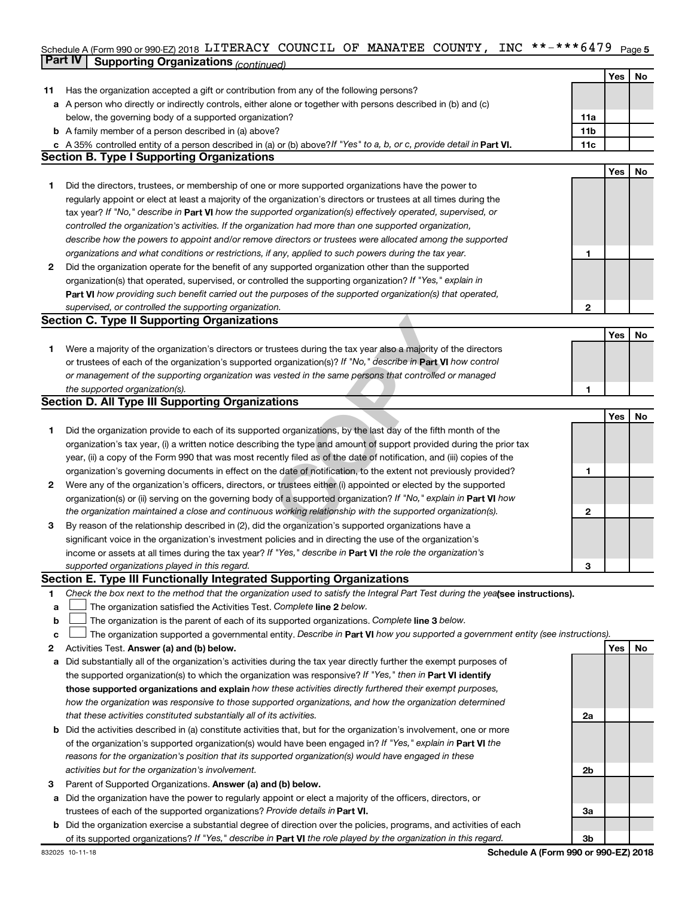#### Schedule A (Form 990 or 990-EZ) 2018 LITERACY COUNCIL OF MANATEE COUNTY,INC \*\*-\*\*\*\*64 /9 Page 5 **Part IV Supporting Organizations** *(continued)* LITERACY COUNCIL OF MANATEE COUNTY, INC \*\*-\*\*\*6479

|    | - - - - - ອ                                                                                                                                                                  |                |     |    |
|----|------------------------------------------------------------------------------------------------------------------------------------------------------------------------------|----------------|-----|----|
|    |                                                                                                                                                                              |                | Yes | No |
| 11 | Has the organization accepted a gift or contribution from any of the following persons?                                                                                      |                |     |    |
| а  | A person who directly or indirectly controls, either alone or together with persons described in (b) and (c)                                                                 |                |     |    |
|    | below, the governing body of a supported organization?                                                                                                                       | 11a            |     |    |
|    | <b>b</b> A family member of a person described in (a) above?                                                                                                                 | 11b<br>11c     |     |    |
|    | c A 35% controlled entity of a person described in (a) or (b) above? If "Yes" to a, b, or c, provide detail in Part VI.<br><b>Section B. Type I Supporting Organizations</b> |                |     |    |
|    |                                                                                                                                                                              |                | Yes | No |
| 1. | Did the directors, trustees, or membership of one or more supported organizations have the power to                                                                          |                |     |    |
|    | regularly appoint or elect at least a majority of the organization's directors or trustees at all times during the                                                           |                |     |    |
|    | tax year? If "No," describe in Part VI how the supported organization(s) effectively operated, supervised, or                                                                |                |     |    |
|    | controlled the organization's activities. If the organization had more than one supported organization,                                                                      |                |     |    |
|    | describe how the powers to appoint and/or remove directors or trustees were allocated among the supported                                                                    |                |     |    |
|    | organizations and what conditions or restrictions, if any, applied to such powers during the tax year.                                                                       | 1              |     |    |
| 2  | Did the organization operate for the benefit of any supported organization other than the supported                                                                          |                |     |    |
|    | organization(s) that operated, supervised, or controlled the supporting organization? If "Yes," explain in                                                                   |                |     |    |
|    | Part VI how providing such benefit carried out the purposes of the supported organization(s) that operated,                                                                  |                |     |    |
|    | supervised, or controlled the supporting organization.                                                                                                                       | $\mathbf{2}$   |     |    |
|    | <b>Section C. Type II Supporting Organizations</b>                                                                                                                           |                |     |    |
|    |                                                                                                                                                                              |                | Yes | No |
| 1. | Were a majority of the organization's directors or trustees during the tax year also a majority of the directors                                                             |                |     |    |
|    | or trustees of each of the organization's supported organization(s)? If "No," describe in Part VI how control                                                                |                |     |    |
|    | or management of the supporting organization was vested in the same persons that controlled or managed                                                                       |                |     |    |
|    | the supported organization(s).                                                                                                                                               | 1              |     |    |
|    | <b>Section D. All Type III Supporting Organizations</b>                                                                                                                      |                |     |    |
|    |                                                                                                                                                                              |                | Yes | No |
| 1. | Did the organization provide to each of its supported organizations, by the last day of the fifth month of the                                                               |                |     |    |
|    | organization's tax year, (i) a written notice describing the type and amount of support provided during the prior tax                                                        |                |     |    |
|    | year, (ii) a copy of the Form 990 that was most recently filed as of the date of notification, and (iii) copies of the                                                       |                |     |    |
|    | organization's governing documents in effect on the date of notification, to the extent not previously provided?                                                             | 1              |     |    |
| 2  | Were any of the organization's officers, directors, or trustees either (i) appointed or elected by the supported                                                             |                |     |    |
|    | organization(s) or (ii) serving on the governing body of a supported organization? If "No," explain in Part VI how                                                           |                |     |    |
|    | the organization maintained a close and continuous working relationship with the supported organization(s).                                                                  | 2              |     |    |
| 3  | By reason of the relationship described in (2), did the organization's supported organizations have a                                                                        |                |     |    |
|    | significant voice in the organization's investment policies and in directing the use of the organization's                                                                   |                |     |    |
|    | income or assets at all times during the tax year? If "Yes," describe in Part VI the role the organization's                                                                 |                |     |    |
|    | supported organizations played in this regard.<br>Section E. Type III Functionally Integrated Supporting Organizations                                                       | 3              |     |    |
| 1  | Check the box next to the method that the organization used to satisfy the Integral Part Test during the yealsee instructions).                                              |                |     |    |
| а  | The organization satisfied the Activities Test. Complete line 2 below.                                                                                                       |                |     |    |
| b  | The organization is the parent of each of its supported organizations. Complete line 3 below.                                                                                |                |     |    |
| c  | The organization supported a governmental entity. Describe in Part VI how you supported a government entity (see instructions).                                              |                |     |    |
| 2  | Activities Test. Answer (a) and (b) below.                                                                                                                                   |                | Yes | No |
| a  | Did substantially all of the organization's activities during the tax year directly further the exempt purposes of                                                           |                |     |    |
|    | the supported organization(s) to which the organization was responsive? If "Yes," then in Part VI identify                                                                   |                |     |    |
|    | those supported organizations and explain how these activities directly furthered their exempt purposes,                                                                     |                |     |    |
|    | how the organization was responsive to those supported organizations, and how the organization determined                                                                    |                |     |    |
|    | that these activities constituted substantially all of its activities.                                                                                                       | 2a             |     |    |
|    | <b>b</b> Did the activities described in (a) constitute activities that, but for the organization's involvement, one or more                                                 |                |     |    |
|    | of the organization's supported organization(s) would have been engaged in? If "Yes," explain in Part VI the                                                                 |                |     |    |
|    | reasons for the organization's position that its supported organization(s) would have engaged in these                                                                       |                |     |    |
|    | activities but for the organization's involvement.                                                                                                                           | 2b             |     |    |
| З  | Parent of Supported Organizations. Answer (a) and (b) below.                                                                                                                 |                |     |    |
| a  | Did the organization have the power to regularly appoint or elect a majority of the officers, directors, or                                                                  |                |     |    |
|    | trustees of each of the supported organizations? Provide details in Part VI.                                                                                                 | За             |     |    |
| b  | Did the organization exercise a substantial degree of direction over the policies, programs, and activities of each                                                          |                |     |    |
|    | of its supported organizations? If "Yes," describe in Part VI the role played by the organization in this regard.                                                            | 3 <sub>b</sub> |     |    |

**Schedule A (Form 990 or 990-EZ) 2018**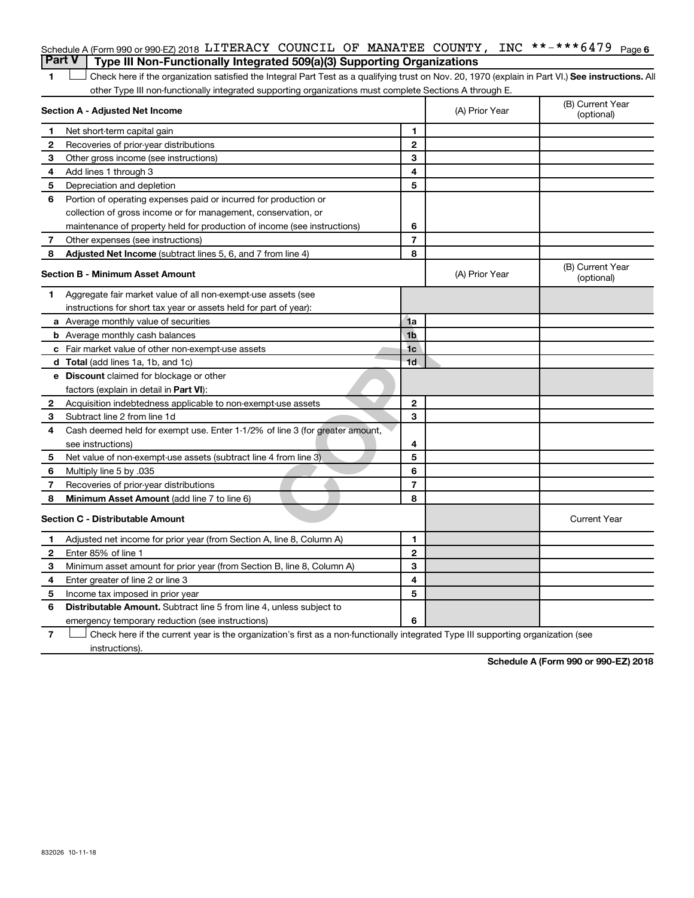|  | Schedule A (Form 990 or 990-EZ) 2018 <code>LITERACY COUNCIL OF MANATEE COUNTY</code> , <code>INC **–***6479</code> <code>Page 6</code>                    |  |  |  |  |
|--|-----------------------------------------------------------------------------------------------------------------------------------------------------------|--|--|--|--|
|  | Part V   Type III Non-Functionally Integrated 509(a)(3) Supporting Organizations                                                                          |  |  |  |  |
|  | $\perp$ Check here if the organization satisfied the Integral Part Test as a qualifying trust on Nov. 20, 1970 (explain in Part VI.) See instructions. Al |  |  |  |  |

**1 Letter or if the organization satisfied the Integral Part Test as a qualifying trust on Nov. 20, 1970 (explain in Part VI.) See instructions. All** other Type III non-functionally integrated supporting organizations must complete Sections A through E.

|    | Section A - Adjusted Net Income                                              |                | (A) Prior Year | (B) Current Year<br>(optional) |
|----|------------------------------------------------------------------------------|----------------|----------------|--------------------------------|
| 1  | Net short-term capital gain                                                  | 1              |                |                                |
| 2  | Recoveries of prior-year distributions                                       | $\mathbf{2}$   |                |                                |
| 3  | Other gross income (see instructions)                                        | 3              |                |                                |
| 4  | Add lines 1 through 3                                                        | 4              |                |                                |
| 5  | Depreciation and depletion                                                   | 5              |                |                                |
| 6  | Portion of operating expenses paid or incurred for production or             |                |                |                                |
|    | collection of gross income or for management, conservation, or               |                |                |                                |
|    | maintenance of property held for production of income (see instructions)     | 6              |                |                                |
| 7  | Other expenses (see instructions)                                            | $\overline{7}$ |                |                                |
| 8  | Adjusted Net Income (subtract lines 5, 6, and 7 from line 4)                 | 8              |                |                                |
|    | <b>Section B - Minimum Asset Amount</b>                                      |                | (A) Prior Year | (B) Current Year<br>(optional) |
| 1. | Aggregate fair market value of all non-exempt-use assets (see                |                |                |                                |
|    | instructions for short tax year or assets held for part of year):            |                |                |                                |
|    | a Average monthly value of securities                                        | 1a             |                |                                |
|    | <b>b</b> Average monthly cash balances                                       | 1 <sub>b</sub> |                |                                |
|    | <b>c</b> Fair market value of other non-exempt-use assets                    | 1 <sub>c</sub> |                |                                |
|    | d Total (add lines 1a, 1b, and 1c)                                           | 1 <sub>d</sub> |                |                                |
|    | e Discount claimed for blockage or other                                     |                |                |                                |
|    | factors (explain in detail in Part VI):                                      |                |                |                                |
| 2  | Acquisition indebtedness applicable to non-exempt-use assets                 | $\mathbf{2}$   |                |                                |
| З  | Subtract line 2 from line 1d                                                 | 3              |                |                                |
| 4  | Cash deemed held for exempt use. Enter 1-1/2% of line 3 (for greater amount, |                |                |                                |
|    | see instructions)                                                            | 4              |                |                                |
| 5  | Net value of non-exempt-use assets (subtract line 4 from line 3)             | 5              |                |                                |
| 6  | Multiply line 5 by .035                                                      | 6              |                |                                |
| 7  | Recoveries of prior-year distributions                                       | $\overline{7}$ |                |                                |
| 8  | Minimum Asset Amount (add line 7 to line 6)                                  | 8              |                |                                |
|    | <b>Section C - Distributable Amount</b>                                      |                |                | <b>Current Year</b>            |
| 1  | Adjusted net income for prior year (from Section A, line 8, Column A)        | 1              |                |                                |
| 2  | Enter 85% of line 1                                                          | $\overline{2}$ |                |                                |
| 3  | Minimum asset amount for prior year (from Section B, line 8, Column A)       | 3              |                |                                |
| 4  | Enter greater of line 2 or line 3                                            | 4              |                |                                |
| 5  | Income tax imposed in prior year                                             | 5              |                |                                |
| 6  | <b>Distributable Amount.</b> Subtract line 5 from line 4, unless subject to  |                |                |                                |
|    | emergency temporary reduction (see instructions)                             | 6              |                |                                |
|    |                                                                              |                |                |                                |

**7** Check here if the current year is the organization's first as a non-functionally integrated Type III supporting organization (see † instructions).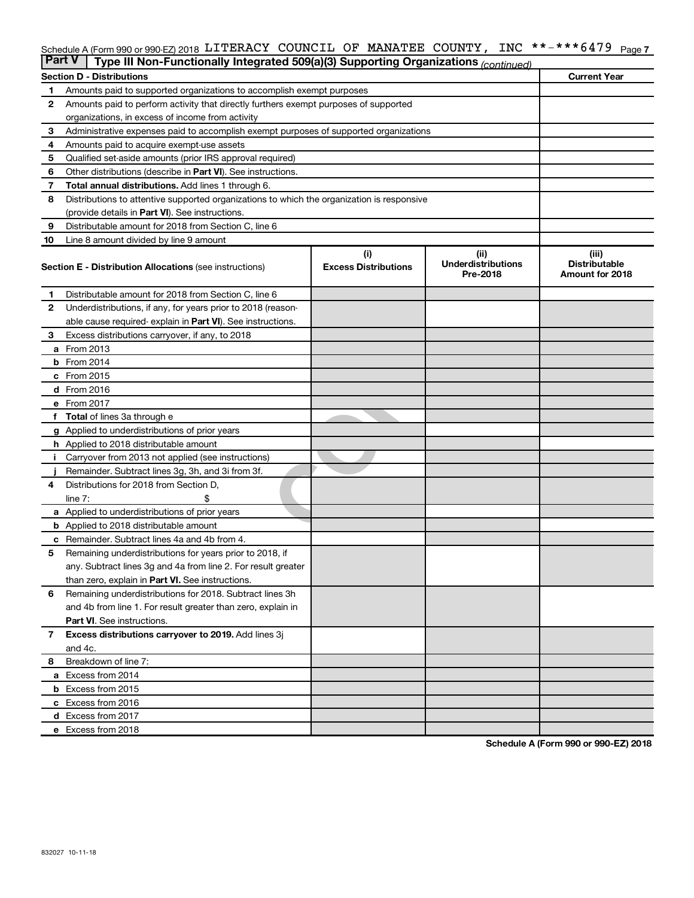#### Schedule A (Form 990 or 990-EZ) 2018 LITERACY COUNCIL OF MANATEE COUNTY, INC \*\*-\*\*\*6479 <sub>Page 7</sub>

| <b>Part V</b> | Type III Non-Functionally Integrated 509(a)(3) Supporting Organizations (continued)        |                             |                                       |                                         |
|---------------|--------------------------------------------------------------------------------------------|-----------------------------|---------------------------------------|-----------------------------------------|
|               | <b>Section D - Distributions</b>                                                           | <b>Current Year</b>         |                                       |                                         |
| 1             | Amounts paid to supported organizations to accomplish exempt purposes                      |                             |                                       |                                         |
| 2             | Amounts paid to perform activity that directly furthers exempt purposes of supported       |                             |                                       |                                         |
|               | organizations, in excess of income from activity                                           |                             |                                       |                                         |
| 3             | Administrative expenses paid to accomplish exempt purposes of supported organizations      |                             |                                       |                                         |
| 4             | Amounts paid to acquire exempt-use assets                                                  |                             |                                       |                                         |
| 5             | Qualified set-aside amounts (prior IRS approval required)                                  |                             |                                       |                                         |
| 6             | Other distributions (describe in <b>Part VI</b> ). See instructions.                       |                             |                                       |                                         |
| 7             | Total annual distributions. Add lines 1 through 6.                                         |                             |                                       |                                         |
| 8             | Distributions to attentive supported organizations to which the organization is responsive |                             |                                       |                                         |
|               | (provide details in Part VI). See instructions.                                            |                             |                                       |                                         |
| 9             | Distributable amount for 2018 from Section C, line 6                                       |                             |                                       |                                         |
| 10            | Line 8 amount divided by line 9 amount                                                     |                             |                                       |                                         |
|               |                                                                                            | (i)                         | (ii)                                  | (iii)                                   |
|               | <b>Section E - Distribution Allocations (see instructions)</b>                             | <b>Excess Distributions</b> | <b>Underdistributions</b><br>Pre-2018 | <b>Distributable</b><br>Amount for 2018 |
| 1             | Distributable amount for 2018 from Section C, line 6                                       |                             |                                       |                                         |
| $\mathbf{2}$  | Underdistributions, if any, for years prior to 2018 (reason-                               |                             |                                       |                                         |
|               | able cause required-explain in Part VI). See instructions.                                 |                             |                                       |                                         |
| 3             | Excess distributions carryover, if any, to 2018                                            |                             |                                       |                                         |
|               | a From 2013                                                                                |                             |                                       |                                         |
|               | <b>b</b> From 2014                                                                         |                             |                                       |                                         |
|               | c From 2015                                                                                |                             |                                       |                                         |
|               | d From 2016                                                                                |                             |                                       |                                         |
|               | e From 2017                                                                                |                             |                                       |                                         |
|               | <b>Total</b> of lines 3a through e                                                         |                             |                                       |                                         |
|               | <b>g</b> Applied to underdistributions of prior years                                      |                             |                                       |                                         |
|               | <b>h</b> Applied to 2018 distributable amount                                              |                             |                                       |                                         |
|               | Carryover from 2013 not applied (see instructions)                                         |                             |                                       |                                         |
|               | Remainder. Subtract lines 3g, 3h, and 3i from 3f.                                          |                             |                                       |                                         |
| 4             | Distributions for 2018 from Section D,                                                     |                             |                                       |                                         |
|               | line $7:$                                                                                  |                             |                                       |                                         |
|               | <b>a</b> Applied to underdistributions of prior years                                      |                             |                                       |                                         |
|               | <b>b</b> Applied to 2018 distributable amount                                              |                             |                                       |                                         |
| с             | Remainder. Subtract lines 4a and 4b from 4.                                                |                             |                                       |                                         |
| 5             | Remaining underdistributions for years prior to 2018, if                                   |                             |                                       |                                         |
|               | any. Subtract lines 3g and 4a from line 2. For result greater                              |                             |                                       |                                         |
|               | than zero, explain in Part VI. See instructions.                                           |                             |                                       |                                         |
| 6             | Remaining underdistributions for 2018. Subtract lines 3h                                   |                             |                                       |                                         |
|               | and 4b from line 1. For result greater than zero, explain in                               |                             |                                       |                                         |
|               | <b>Part VI.</b> See instructions.                                                          |                             |                                       |                                         |
| 7             | Excess distributions carryover to 2019. Add lines 3j                                       |                             |                                       |                                         |
|               | and 4c.                                                                                    |                             |                                       |                                         |
| 8             | Breakdown of line 7:                                                                       |                             |                                       |                                         |
|               | a Excess from 2014                                                                         |                             |                                       |                                         |
|               | <b>b</b> Excess from 2015                                                                  |                             |                                       |                                         |
|               | c Excess from 2016                                                                         |                             |                                       |                                         |
|               | d Excess from 2017                                                                         |                             |                                       |                                         |
|               | e Excess from 2018                                                                         |                             |                                       |                                         |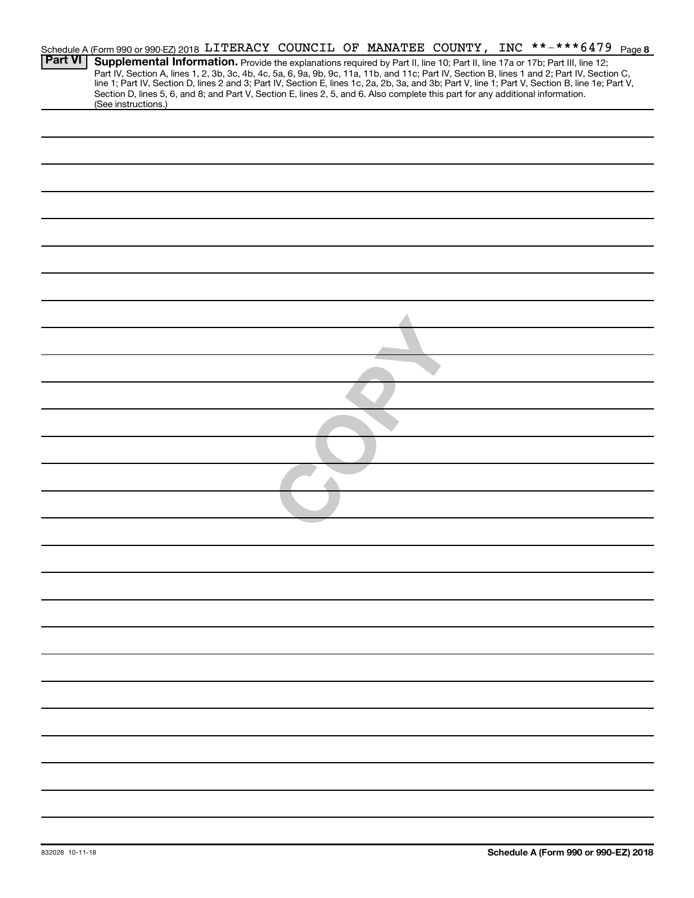|                |                     |  |                                                                                                                                 |  |  | Schedule A (Form 990 or 990-EZ) 2018 LITERACY COUNCIL OF MANATEE COUNTY, INC **-***6479 Page 8                                                                                                                                                                                                                                                                                                                                    |  |
|----------------|---------------------|--|---------------------------------------------------------------------------------------------------------------------------------|--|--|-----------------------------------------------------------------------------------------------------------------------------------------------------------------------------------------------------------------------------------------------------------------------------------------------------------------------------------------------------------------------------------------------------------------------------------|--|
| <b>Part VI</b> | (See instructions.) |  | Section D, lines 5, 6, and 8; and Part V, Section E, lines 2, 5, and 6. Also complete this part for any additional information. |  |  | Supplemental Information. Provide the explanations required by Part II, line 10; Part II, line 17a or 17b; Part III, line 12;<br>Part IV, Section A, lines 1, 2, 3b, 3c, 4b, 4c, 5a, 6, 9a, 9b, 9c, 11a, 11b, and 11c; Part IV, Section B, lines 1 and 2; Part IV, Section C,<br>line 1; Part IV, Section D, lines 2 and 3; Part IV, Section E, lines 1c, 2a, 2b, 3a, and 3b; Part V, line 1; Part V, Section B, line 1e; Part V, |  |
|                |                     |  |                                                                                                                                 |  |  |                                                                                                                                                                                                                                                                                                                                                                                                                                   |  |
|                |                     |  |                                                                                                                                 |  |  |                                                                                                                                                                                                                                                                                                                                                                                                                                   |  |
|                |                     |  |                                                                                                                                 |  |  |                                                                                                                                                                                                                                                                                                                                                                                                                                   |  |
|                |                     |  |                                                                                                                                 |  |  |                                                                                                                                                                                                                                                                                                                                                                                                                                   |  |
|                |                     |  |                                                                                                                                 |  |  |                                                                                                                                                                                                                                                                                                                                                                                                                                   |  |
|                |                     |  |                                                                                                                                 |  |  |                                                                                                                                                                                                                                                                                                                                                                                                                                   |  |
|                |                     |  |                                                                                                                                 |  |  |                                                                                                                                                                                                                                                                                                                                                                                                                                   |  |
|                |                     |  |                                                                                                                                 |  |  |                                                                                                                                                                                                                                                                                                                                                                                                                                   |  |
|                |                     |  |                                                                                                                                 |  |  |                                                                                                                                                                                                                                                                                                                                                                                                                                   |  |
|                |                     |  |                                                                                                                                 |  |  |                                                                                                                                                                                                                                                                                                                                                                                                                                   |  |
|                |                     |  |                                                                                                                                 |  |  |                                                                                                                                                                                                                                                                                                                                                                                                                                   |  |
|                |                     |  |                                                                                                                                 |  |  |                                                                                                                                                                                                                                                                                                                                                                                                                                   |  |
|                |                     |  |                                                                                                                                 |  |  |                                                                                                                                                                                                                                                                                                                                                                                                                                   |  |
|                |                     |  |                                                                                                                                 |  |  |                                                                                                                                                                                                                                                                                                                                                                                                                                   |  |
|                |                     |  |                                                                                                                                 |  |  |                                                                                                                                                                                                                                                                                                                                                                                                                                   |  |
|                |                     |  |                                                                                                                                 |  |  |                                                                                                                                                                                                                                                                                                                                                                                                                                   |  |
|                |                     |  |                                                                                                                                 |  |  |                                                                                                                                                                                                                                                                                                                                                                                                                                   |  |
|                |                     |  |                                                                                                                                 |  |  |                                                                                                                                                                                                                                                                                                                                                                                                                                   |  |
|                |                     |  |                                                                                                                                 |  |  |                                                                                                                                                                                                                                                                                                                                                                                                                                   |  |
|                |                     |  |                                                                                                                                 |  |  |                                                                                                                                                                                                                                                                                                                                                                                                                                   |  |
|                |                     |  |                                                                                                                                 |  |  |                                                                                                                                                                                                                                                                                                                                                                                                                                   |  |
|                |                     |  |                                                                                                                                 |  |  |                                                                                                                                                                                                                                                                                                                                                                                                                                   |  |
|                |                     |  |                                                                                                                                 |  |  |                                                                                                                                                                                                                                                                                                                                                                                                                                   |  |
|                |                     |  |                                                                                                                                 |  |  |                                                                                                                                                                                                                                                                                                                                                                                                                                   |  |
|                |                     |  |                                                                                                                                 |  |  |                                                                                                                                                                                                                                                                                                                                                                                                                                   |  |
|                |                     |  |                                                                                                                                 |  |  |                                                                                                                                                                                                                                                                                                                                                                                                                                   |  |
|                |                     |  |                                                                                                                                 |  |  |                                                                                                                                                                                                                                                                                                                                                                                                                                   |  |
|                |                     |  |                                                                                                                                 |  |  |                                                                                                                                                                                                                                                                                                                                                                                                                                   |  |
|                |                     |  |                                                                                                                                 |  |  |                                                                                                                                                                                                                                                                                                                                                                                                                                   |  |
|                |                     |  |                                                                                                                                 |  |  |                                                                                                                                                                                                                                                                                                                                                                                                                                   |  |
|                |                     |  |                                                                                                                                 |  |  |                                                                                                                                                                                                                                                                                                                                                                                                                                   |  |
|                |                     |  |                                                                                                                                 |  |  |                                                                                                                                                                                                                                                                                                                                                                                                                                   |  |
|                |                     |  |                                                                                                                                 |  |  |                                                                                                                                                                                                                                                                                                                                                                                                                                   |  |
|                |                     |  |                                                                                                                                 |  |  |                                                                                                                                                                                                                                                                                                                                                                                                                                   |  |
|                |                     |  |                                                                                                                                 |  |  |                                                                                                                                                                                                                                                                                                                                                                                                                                   |  |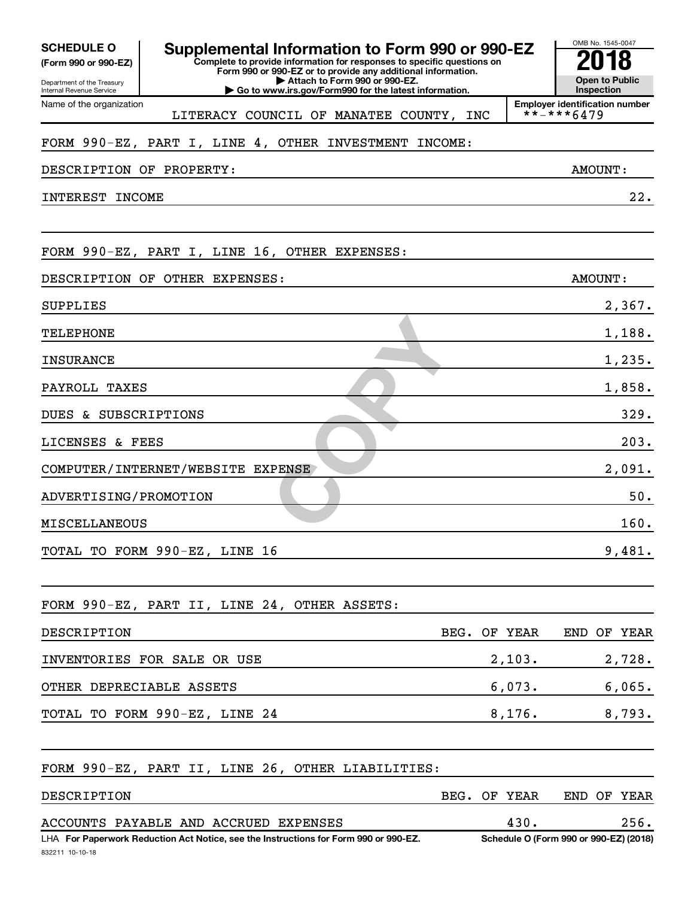| <b>SCHEDULE O</b><br>(Form 990 or 990-EZ)<br>Department of the Treasury<br>Internal Revenue Service | Supplemental Information to Form 990 or 990-EZ<br>Complete to provide information for responses to specific questions on<br>Form 990 or 990-EZ or to provide any additional information.<br>Attach to Form 990 or 990-EZ.<br>Go to www.irs.gov/Form990 for the latest information. |      |         | OMB No. 1545-0047<br><b>Open to Public</b><br>Inspection |        |
|-----------------------------------------------------------------------------------------------------|------------------------------------------------------------------------------------------------------------------------------------------------------------------------------------------------------------------------------------------------------------------------------------|------|---------|----------------------------------------------------------|--------|
| Name of the organization                                                                            | LITERACY COUNCIL OF MANATEE COUNTY, INC                                                                                                                                                                                                                                            |      |         | <b>Employer identification number</b><br>**-***6479      |        |
|                                                                                                     | FORM 990-EZ, PART I, LINE 4, OTHER INVESTMENT INCOME:                                                                                                                                                                                                                              |      |         |                                                          |        |
| DESCRIPTION OF PROPERTY:                                                                            |                                                                                                                                                                                                                                                                                    |      |         | <b>AMOUNT:</b>                                           |        |
| INTEREST INCOME                                                                                     |                                                                                                                                                                                                                                                                                    |      |         |                                                          | 22.    |
|                                                                                                     |                                                                                                                                                                                                                                                                                    |      |         |                                                          |        |
|                                                                                                     | FORM 990-EZ, PART I, LINE 16, OTHER EXPENSES:                                                                                                                                                                                                                                      |      |         |                                                          |        |
|                                                                                                     | DESCRIPTION OF OTHER EXPENSES:                                                                                                                                                                                                                                                     |      |         | AMOUNT:                                                  |        |
| <b>SUPPLIES</b>                                                                                     |                                                                                                                                                                                                                                                                                    |      |         |                                                          | 2,367. |
| TELEPHONE                                                                                           |                                                                                                                                                                                                                                                                                    |      |         |                                                          | 1,188. |
| <b>INSURANCE</b>                                                                                    |                                                                                                                                                                                                                                                                                    |      |         |                                                          | 1,235. |
| PAYROLL TAXES                                                                                       |                                                                                                                                                                                                                                                                                    |      |         |                                                          | 1,858. |
| DUES & SUBSCRIPTIONS                                                                                |                                                                                                                                                                                                                                                                                    |      |         |                                                          | 329.   |
| LICENSES & FEES                                                                                     |                                                                                                                                                                                                                                                                                    |      |         |                                                          | 203.   |
|                                                                                                     | COMPUTER/INTERNET/WEBSITE EXPENSE                                                                                                                                                                                                                                                  |      |         |                                                          | 2,091. |
| ADVERTISING/PROMOTION                                                                               |                                                                                                                                                                                                                                                                                    |      |         |                                                          | 50.    |
| <b>MISCELLANEOUS</b>                                                                                |                                                                                                                                                                                                                                                                                    |      |         |                                                          | 160.   |
|                                                                                                     | TOTAL TO FORM 990-EZ, LINE 16                                                                                                                                                                                                                                                      |      |         |                                                          | 9,481. |
|                                                                                                     | FORM 990-EZ, PART II, LINE 24, OTHER ASSETS:                                                                                                                                                                                                                                       |      |         |                                                          |        |
| DESCRIPTION                                                                                         |                                                                                                                                                                                                                                                                                    | BEG. | OF YEAR | END OF YEAR                                              |        |
|                                                                                                     | INVENTORIES FOR SALE OR USE                                                                                                                                                                                                                                                        |      | 2,103.  |                                                          | 2,728. |
| OTHER DEPRECIABLE ASSETS                                                                            |                                                                                                                                                                                                                                                                                    |      | 6,073.  |                                                          | 6,065. |
|                                                                                                     | TOTAL TO FORM 990-EZ, LINE 24                                                                                                                                                                                                                                                      |      | 8,176.  |                                                          | 8,793. |
|                                                                                                     | FORM 990-EZ, PART II, LINE 26, OTHER LIABILITIES:                                                                                                                                                                                                                                  |      |         |                                                          |        |
| DESCRIPTION                                                                                         |                                                                                                                                                                                                                                                                                    | BEG. | OF YEAR | END OF YEAR                                              |        |
|                                                                                                     | ACCOUNTS PAYABLE AND ACCRUED EXPENSES                                                                                                                                                                                                                                              |      | 430.    |                                                          | 256.   |
| 832211 10-10-18                                                                                     | LHA For Paperwork Reduction Act Notice, see the Instructions for Form 990 or 990-EZ.                                                                                                                                                                                               |      |         | Schedule O (Form 990 or 990-EZ) (2018)                   |        |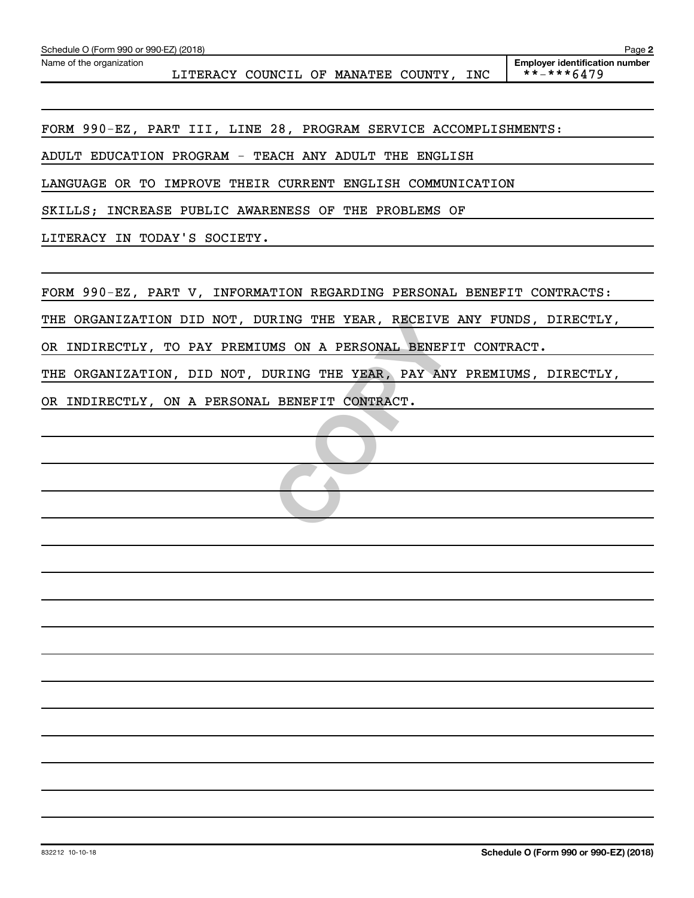FORM 990-EZ, PART III, LINE 28, PROGRAM SERVICE ACCOMPLISHMENTS:

ADULT EDUCATION PROGRAM - TEACH ANY ADULT THE ENGLISH

LANGUAGE OR TO IMPROVE THEIR CURRENT ENGLISH COMMUNICATION

SKILLS; INCREASE PUBLIC AWARENESS OF THE PROBLEMS OF

LITERACY IN TODAY'S SOCIETY.

FORM 990-EZ, PART V, INFORMATION REGARDING PERSONAL BENEFIT CONTRACTS:

THE ORGANIZATION DID NOT, DURING THE YEAR, RECEIVE ANY FUNDS, DIRECTLY,

RING THE YEAR, RECEIVE<br>
MS ON A PERSONAL BENEFI<br>
URING THE YEAR, PAY ANY<br>
BENEFIT CONTRACT. OR INDIRECTLY, TO PAY PREMIUMS ON A PERSONAL BENEFIT CONTRACT.

THE ORGANIZATION, DID NOT, DURING THE YEAR, PAY ANY PREMIUMS, DIRECTLY,

OR INDIRECTLY, ON A PERSONAL BENEFIT CONTRACT.